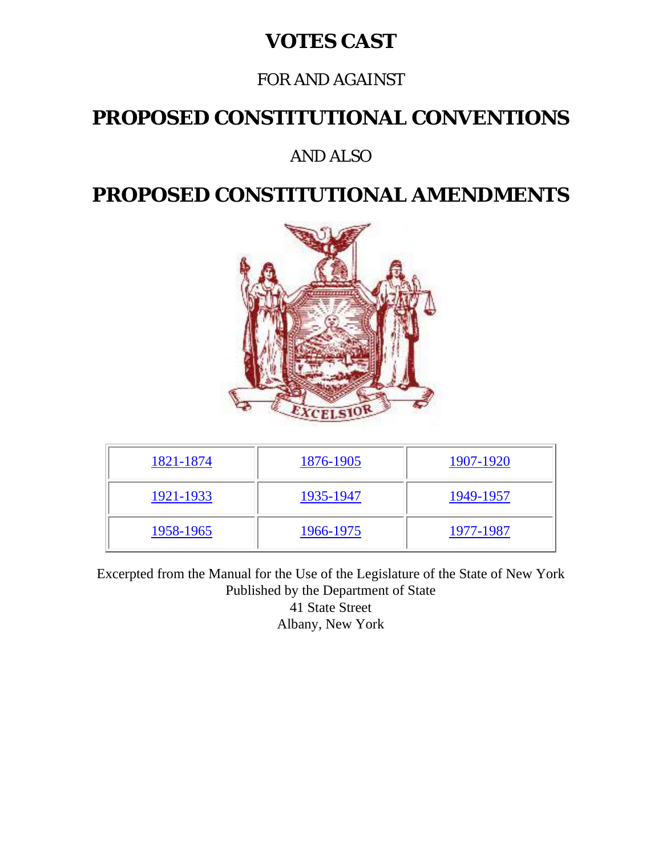#### **VOTES CAST**

#### FOR AND AGAINST

#### **PROPOSED CONSTITUTIONAL CONVENTIONS**

#### AND ALSO

#### **PROPOSED CONSTITUTIONAL AMENDMENTS**



| 1821-1874 | 1876-1905 | 1907-1920 |
|-----------|-----------|-----------|
| 1921-1933 | 1935-1947 | 1949-1957 |
| 1958-1965 | 1966-1975 | 1977-1987 |

Excerpted from the Manual for the Use of the Legislature of the State of New York Published by the Department of State 41 State Street Albany, New York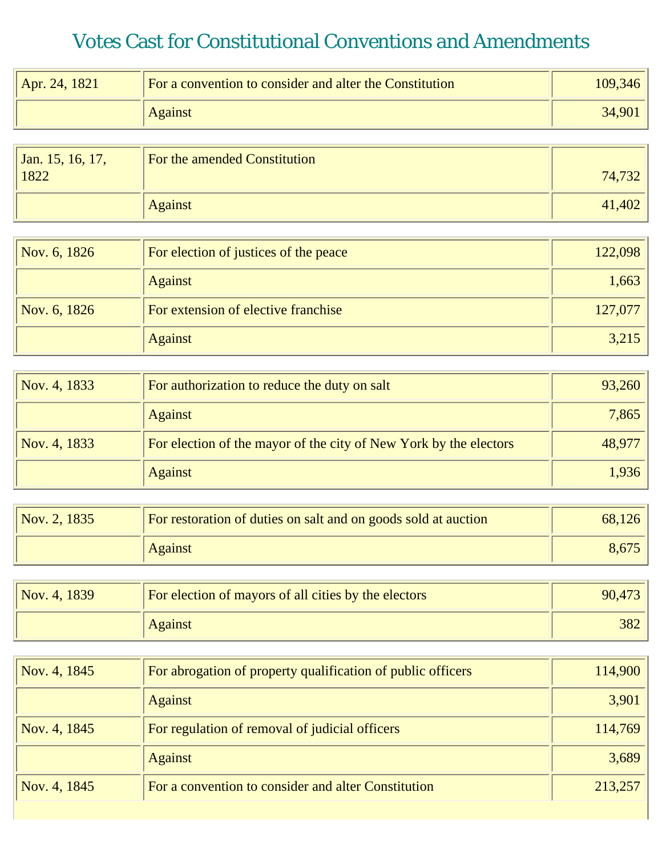<span id="page-1-0"></span>

| Apr. 24, 1821 | For a convention to consider and alter the Constitution | 109,346 |
|---------------|---------------------------------------------------------|---------|
|               | <b>Against</b>                                          | 34,901  |
|               |                                                         |         |

| Jan. 15, 16, 17,<br>1822 | For the amended Constitution | 74,732 |
|--------------------------|------------------------------|--------|
|                          | <b>Against</b>               | 41,402 |

| Nov. 6, 1826 | For election of justices of the peace | 122,098 |
|--------------|---------------------------------------|---------|
|              | <b>Against</b>                        | 1,663   |
| Nov. 6, 1826 | For extension of elective franchise   | 127,077 |
|              | <b>Against</b>                        | 3,215   |

| Nov. 4, 1833 | For authorization to reduce the duty on salt                      | 93,260 |
|--------------|-------------------------------------------------------------------|--------|
|              | <b>Against</b>                                                    | 7,865  |
| Nov. 4, 1833 | For election of the mayor of the city of New York by the electors | 48,977 |
|              | <b>Against</b>                                                    | 1,936  |

| $\sqrt{Nov. 2, 1835}$ | For restoration of duties on salt and on goods sold at auction | 68,126 |
|-----------------------|----------------------------------------------------------------|--------|
|                       | <b>Against</b>                                                 | 8,675  |

| Nov. 4, 1839 | For election of mayors of all cities by the electors | 90,473 |
|--------------|------------------------------------------------------|--------|
|              | <b>Against</b>                                       | 382    |

| Nov. 4, 1845 | For abrogation of property qualification of public officers | 114,900 |
|--------------|-------------------------------------------------------------|---------|
|              | <b>Against</b>                                              | 3,901   |
| Nov. 4, 1845 | For regulation of removal of judicial officers              | 114,769 |
|              | <b>Against</b>                                              | 3,689   |
| Nov. 4, 1845 | For a convention to consider and alter Constitution         | 213,257 |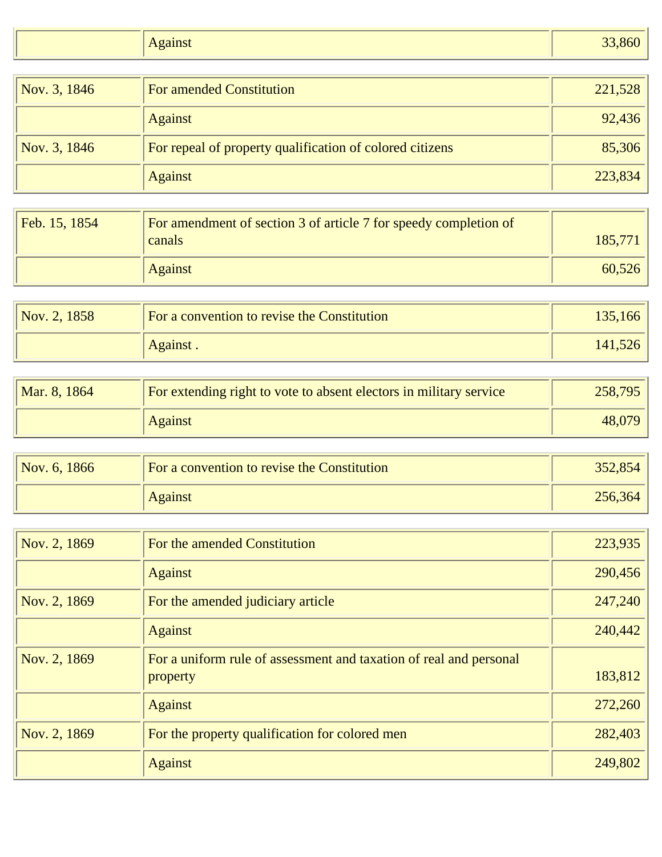| <b>Against</b> | $\Omega$<br>-80° |
|----------------|------------------|

| Nov. 3, 1846 | <b>For amended Constitution</b>                          | 221,528 |
|--------------|----------------------------------------------------------|---------|
|              | <b>Against</b>                                           | 92,436  |
| Nov. 3, 1846 | For repeal of property qualification of colored citizens | 85,306  |
|              | <b>Against</b>                                           | 223,834 |

| Feb. 15, 1854 | For amendment of section 3 of article 7 for speedy completion of<br>canals | 185,771 |
|---------------|----------------------------------------------------------------------------|---------|
|               | <b>Against</b>                                                             | 60,526  |

| Nov. 2, 1858 | For a convention to revise the Constitution | 135,166 |
|--------------|---------------------------------------------|---------|
|              | Against.                                    | 141,526 |

| Mar. 8, 1864 | For extending right to vote to absent electors in military service | 258,795 |
|--------------|--------------------------------------------------------------------|---------|
|              | <b>Against</b>                                                     | 48,079  |

| Nov. 6, $1866$ | For a convention to revise the Constitution | 352,854 |
|----------------|---------------------------------------------|---------|
|                | <b>Against</b>                              | 256,364 |

| Nov. 2, 1869 | For the amended Constitution                                                   | 223,935 |
|--------------|--------------------------------------------------------------------------------|---------|
|              | <b>Against</b>                                                                 | 290,456 |
| Nov. 2, 1869 | For the amended judiciary article                                              | 247,240 |
|              | <b>Against</b>                                                                 | 240,442 |
| Nov. 2, 1869 | For a uniform rule of assessment and taxation of real and personal<br>property | 183,812 |
|              | <b>Against</b>                                                                 | 272,260 |
| Nov. 2, 1869 | For the property qualification for colored men                                 | 282,403 |
|              | <b>Against</b>                                                                 | 249,802 |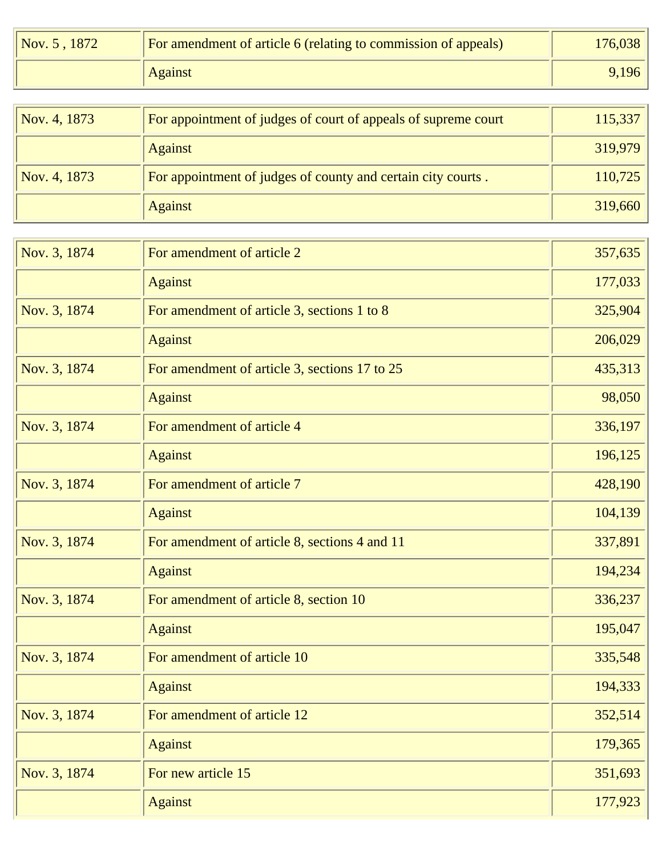| $\sqrt{Nov. 5, 1872}$ | For amendment of article 6 (relating to commission of appeals) | 176,038 |
|-----------------------|----------------------------------------------------------------|---------|
|                       | <b>Against</b>                                                 | 9,196   |

| Nov. 4, 1873 | For appointment of judges of court of appeals of supreme court | 115,337 |
|--------------|----------------------------------------------------------------|---------|
|              | <b>Against</b>                                                 | 319,979 |
| Nov. 4, 1873 | For appointment of judges of county and certain city courts.   | 110,725 |
|              | <b>Against</b>                                                 | 319,660 |

| Nov. 3, 1874 | For amendment of article 2                    | 357,635 |
|--------------|-----------------------------------------------|---------|
|              | <b>Against</b>                                | 177,033 |
| Nov. 3, 1874 | For amendment of article 3, sections 1 to 8   | 325,904 |
|              | <b>Against</b>                                | 206,029 |
| Nov. 3, 1874 | For amendment of article 3, sections 17 to 25 | 435,313 |
|              | <b>Against</b>                                | 98,050  |
| Nov. 3, 1874 | For amendment of article 4                    | 336,197 |
|              | <b>Against</b>                                | 196,125 |
| Nov. 3, 1874 | For amendment of article 7                    | 428,190 |
|              | <b>Against</b>                                | 104,139 |
| Nov. 3, 1874 | For amendment of article 8, sections 4 and 11 | 337,891 |
|              | <b>Against</b>                                | 194,234 |
| Nov. 3, 1874 | For amendment of article 8, section 10        | 336,237 |
|              | <b>Against</b>                                | 195,047 |
| Nov. 3, 1874 | For amendment of article 10                   | 335,548 |
|              | <b>Against</b>                                | 194,333 |
| Nov. 3, 1874 | For amendment of article 12                   | 352,514 |
|              | <b>Against</b>                                | 179,365 |
| Nov. 3, 1874 | For new article 15                            | 351,693 |
|              | <b>Against</b>                                | 177,923 |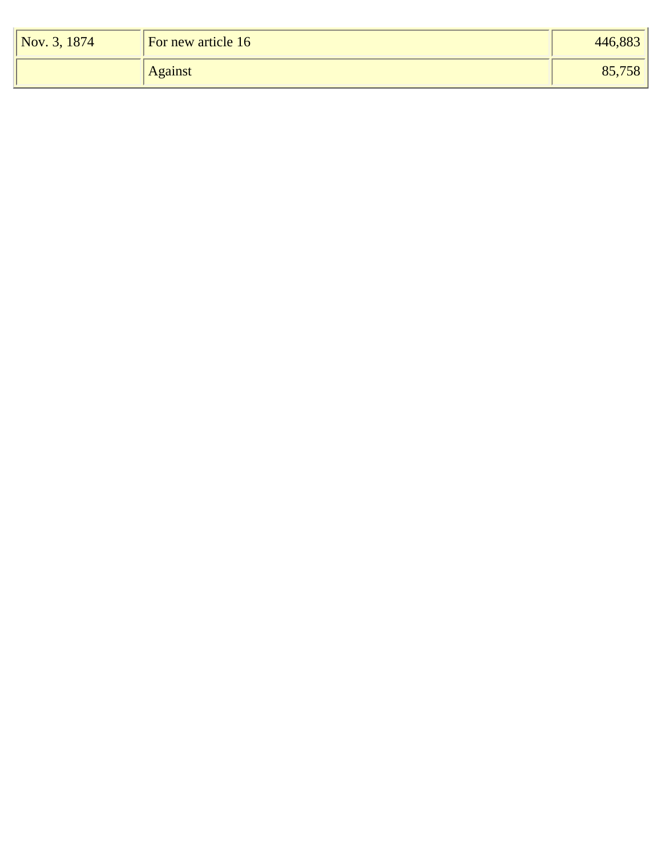| $\sqrt{Nov. 3, 1874}$ | For new article 16 | 446,883 |
|-----------------------|--------------------|---------|
|                       | <b>Against</b>     | 85,758  |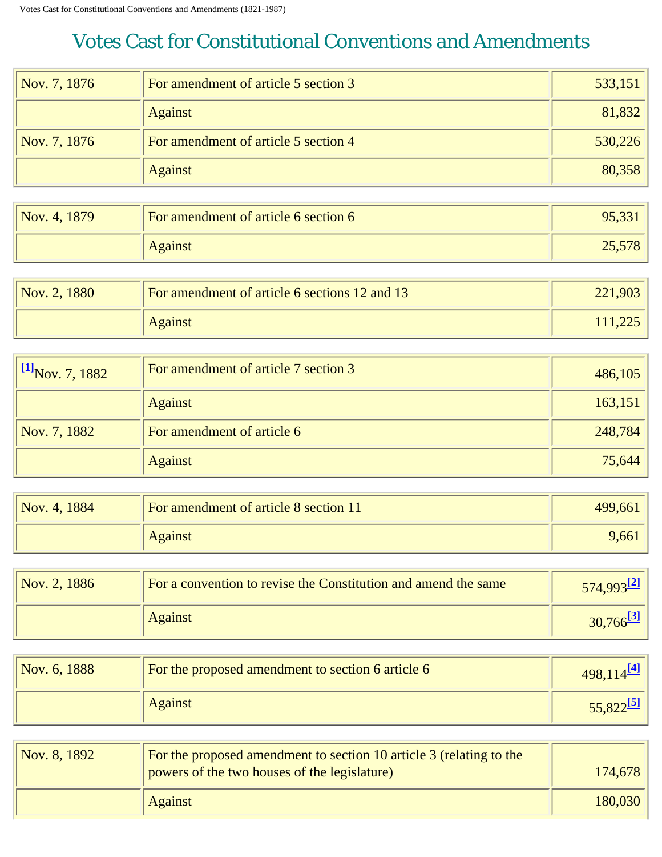<span id="page-5-0"></span>

| Nov. 7, 1876 | For amendment of article 5 section 3 | 533,151 |
|--------------|--------------------------------------|---------|
|              | <b>Against</b>                       | 81,832  |
| Nov. 7, 1876 | For amendment of article 5 section 4 | 530,226 |
|              | <b>Against</b>                       | 80,358  |

| Nov. 4, 1879 | For amendment of article 6 section 6 | 95,331 |
|--------------|--------------------------------------|--------|
|              | <b>Against</b>                       | 25,578 |

| $\sqrt{Nov. 2, 1880}$ | For amendment of article 6 sections 12 and 13 | 221,903 |
|-----------------------|-----------------------------------------------|---------|
|                       | <b>Against</b>                                | 111,225 |

<span id="page-5-1"></span>

| $\frac{[1]}{[1]}$ Nov. 7, 1882 | For amendment of article 7 section 3 | 486,105 |
|--------------------------------|--------------------------------------|---------|
|                                | <b>Against</b>                       | 163,151 |
| Nov. 7, 1882                   | For amendment of article 6           | 248,784 |
|                                | <b>Against</b>                       | 75,644  |

| Nov. 4, 1884 | For amendment of article 8 section 11 | 499,661 |
|--------------|---------------------------------------|---------|
|              | <b>Against</b>                        | 9,661   |

<span id="page-5-2"></span>

| Nov. 2, 1886 | For a convention to revise the Constitution and amend the same | $574.993^{2}$ |
|--------------|----------------------------------------------------------------|---------------|
|              | <b>Against</b>                                                 | 30,766        |

<span id="page-5-4"></span><span id="page-5-3"></span>

| Nov. 6, 1888 | For the proposed amendment to section 6 article 6 | $498,114$ <sup>[4]</sup> |
|--------------|---------------------------------------------------|--------------------------|
|              | <b>Against</b>                                    | 55,822                   |

<span id="page-5-5"></span>

| Nov. 8, 1892 | <b>For the proposed amendment to section 10 article 3 (relating to the</b><br>powers of the two houses of the legislature) | 174,678 |
|--------------|----------------------------------------------------------------------------------------------------------------------------|---------|
|              | Against                                                                                                                    | 180,030 |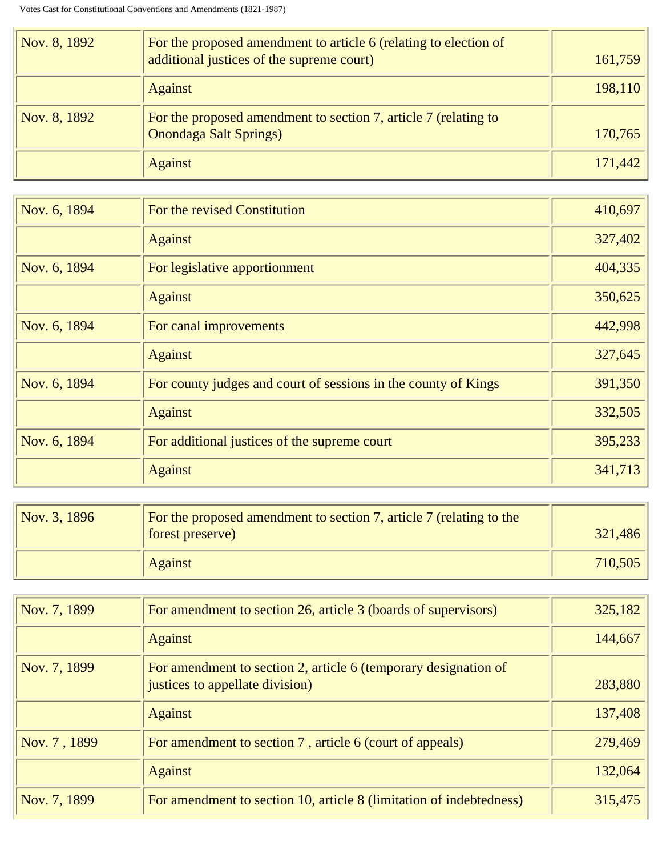| Nov. 8, 1892 | For the proposed amendment to article 6 (relating to election of<br>additional justices of the supreme court) | 161,759 |
|--------------|---------------------------------------------------------------------------------------------------------------|---------|
|              | <b>Against</b>                                                                                                | 198,110 |
| Nov. 8, 1892 | For the proposed amendment to section 7, article 7 (relating to<br><b>Onondaga Salt Springs)</b>              | 170,765 |
|              | <b>Against</b>                                                                                                | 171,442 |

| Nov. 6, 1894 | For the revised Constitution                                   | 410,697 |
|--------------|----------------------------------------------------------------|---------|
|              | <b>Against</b>                                                 | 327,402 |
| Nov. 6, 1894 | For legislative apportionment                                  | 404,335 |
|              | <b>Against</b>                                                 | 350,625 |
| Nov. 6, 1894 | For canal improvements                                         | 442,998 |
|              | <b>Against</b>                                                 | 327,645 |
| Nov. 6, 1894 | For county judges and court of sessions in the county of Kings | 391,350 |
|              | <b>Against</b>                                                 | 332,505 |
| Nov. 6, 1894 | For additional justices of the supreme court                   | 395,233 |
|              | <b>Against</b>                                                 | 341,713 |

| Nov. 3, 1896 | For the proposed amendment to section 7, article 7 (relating to the<br>forest preserve) | 321,486 |
|--------------|-----------------------------------------------------------------------------------------|---------|
|              | <b>Against</b>                                                                          | 710,505 |

| Nov. 7, 1899 | For amendment to section 26, article 3 (boards of supervisors)                                     | 325,182 |
|--------------|----------------------------------------------------------------------------------------------------|---------|
|              | <b>Against</b>                                                                                     | 144,667 |
| Nov. 7, 1899 | For amendment to section 2, article 6 (temporary designation of<br>justices to appellate division) | 283,880 |
|              | <b>Against</b>                                                                                     | 137,408 |
| Nov. 7, 1899 | For amendment to section 7, article 6 (court of appeals)                                           | 279,469 |
|              | <b>Against</b>                                                                                     | 132,064 |
| Nov. 7, 1899 | For amendment to section 10, article 8 (limitation of indebtedness)                                | 315,475 |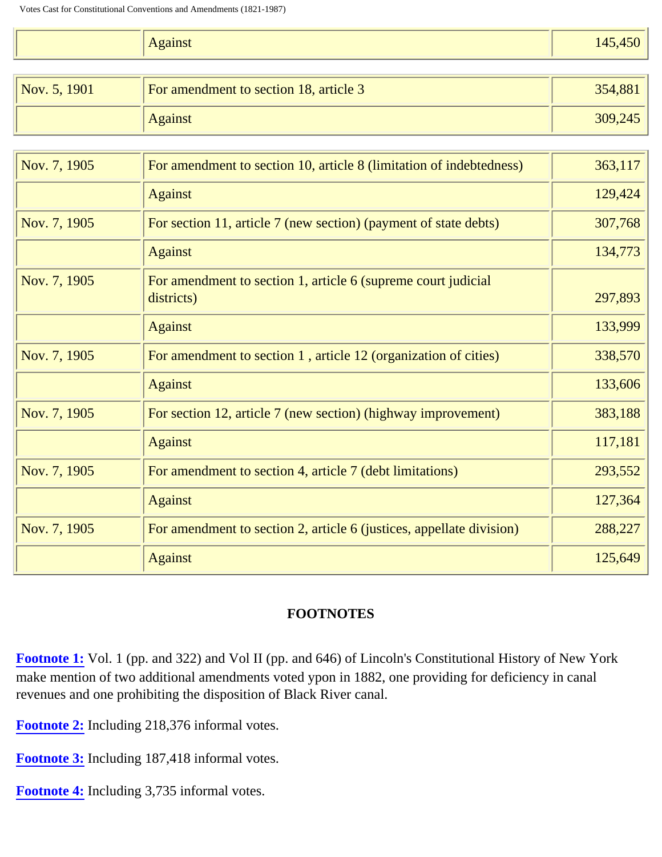|  | $  -$<br>$\Delta$ galist | $\sim$ $\sim$<br>$\overline{A}$<br>$\overline{\phantom{0}}$<br>_<br>$ -$ |
|--|--------------------------|--------------------------------------------------------------------------|
|--|--------------------------|--------------------------------------------------------------------------|

| $\sqrt{Nov. 5, 1901}$ | For amendment to section 18, article 3 | 354,881 |
|-----------------------|----------------------------------------|---------|
|                       | <b>Against</b>                         | 309,245 |

| Nov. 7, 1905 | For amendment to section 10, article 8 (limitation of indebtedness)         | 363,117 |
|--------------|-----------------------------------------------------------------------------|---------|
|              | <b>Against</b>                                                              | 129,424 |
| Nov. 7, 1905 | For section 11, article 7 (new section) (payment of state debts)            | 307,768 |
|              | <b>Against</b>                                                              | 134,773 |
| Nov. 7, 1905 | For amendment to section 1, article 6 (supreme court judicial<br>districts) | 297,893 |
|              | <b>Against</b>                                                              | 133,999 |
| Nov. 7, 1905 | For amendment to section 1, article 12 (organization of cities)             | 338,570 |
|              | <b>Against</b>                                                              | 133,606 |
| Nov. 7, 1905 | For section 12, article 7 (new section) (highway improvement)               | 383,188 |
|              | <b>Against</b>                                                              | 117,181 |
| Nov. 7, 1905 | For amendment to section 4, article 7 (debt limitations)                    | 293,552 |
|              | <b>Against</b>                                                              | 127,364 |
| Nov. 7, 1905 | For amendment to section 2, article 6 (justices, appellate division)        | 288,227 |
|              | <b>Against</b>                                                              | 125,649 |

#### **FOOTNOTES**

<span id="page-7-0"></span>**[Footnote 1:](#page-5-1)** Vol. 1 (pp. and 322) and Vol II (pp. and 646) of Lincoln's Constitutional History of New York make mention of two additional amendments voted ypon in 1882, one providing for deficiency in canal revenues and one prohibiting the disposition of Black River canal.

<span id="page-7-1"></span>**[Footnote 2:](#page-5-2)** Including 218,376 informal votes.

<span id="page-7-2"></span>**[Footnote 3:](#page-5-3)** Including 187,418 informal votes.

<span id="page-7-4"></span><span id="page-7-3"></span>**[Footnote 4:](#page-5-4)** Including 3,735 informal votes.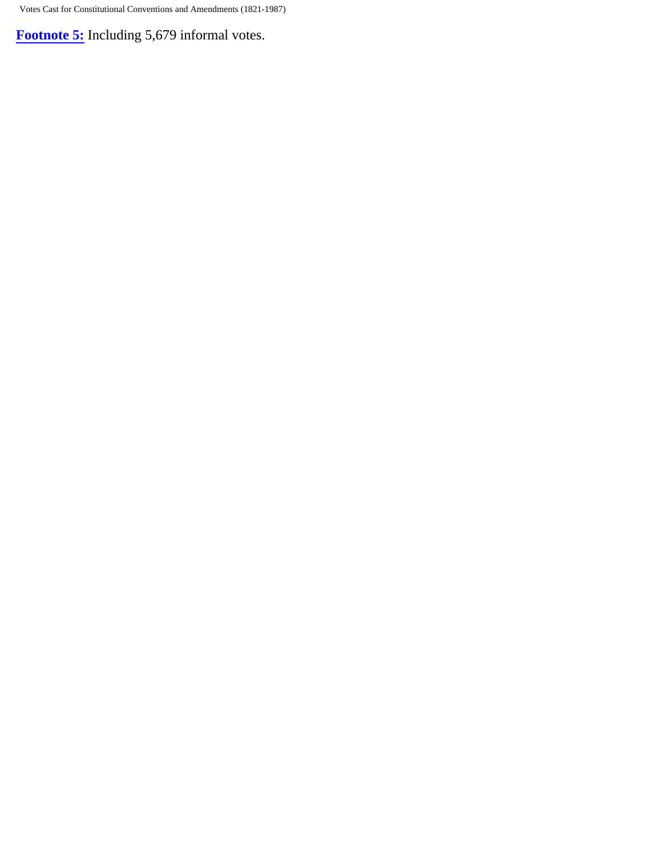**[Footnote 5:](#page-5-5)** Including 5,679 informal votes.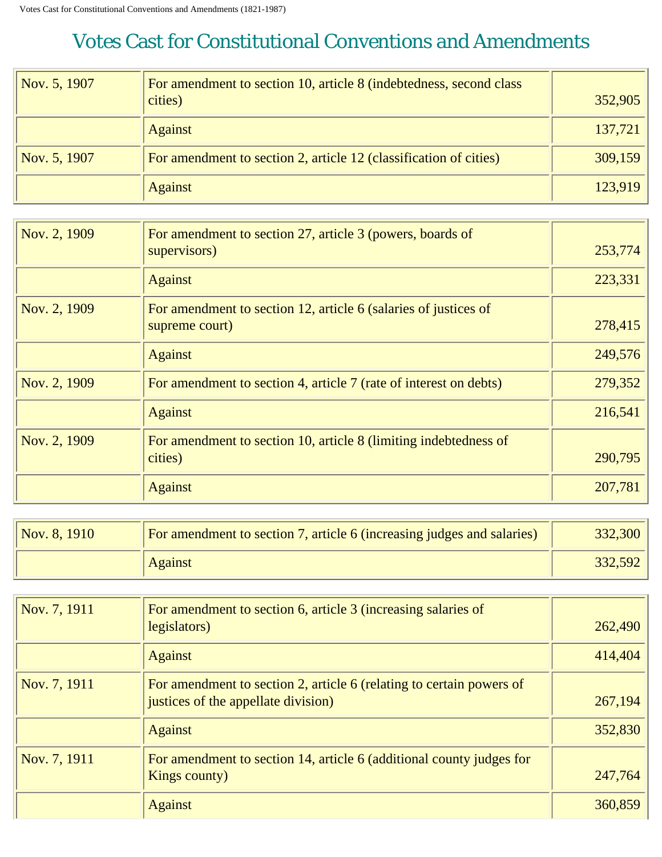<span id="page-9-0"></span>

| Nov. 5, 1907 | For amendment to section 10, article 8 (indebtedness, second class<br>cities) | 352,905 |
|--------------|-------------------------------------------------------------------------------|---------|
|              | <b>Against</b>                                                                | 137,721 |
| Nov. 5, 1907 | For amendment to section 2, article 12 (classification of cities)             | 309,159 |
|              | <b>Against</b>                                                                | 123,919 |

| Nov. 2, 1909 | For amendment to section 27, article 3 (powers, boards of<br>supervisors)         | 253,774 |
|--------------|-----------------------------------------------------------------------------------|---------|
|              | <b>Against</b>                                                                    | 223,331 |
| Nov. 2, 1909 | For amendment to section 12, article 6 (salaries of justices of<br>supreme court) | 278,415 |
|              | <b>Against</b>                                                                    | 249,576 |
| Nov. 2, 1909 | For amendment to section 4, article 7 (rate of interest on debts)                 | 279,352 |
|              | <b>Against</b>                                                                    | 216,541 |
| Nov. 2, 1909 | For amendment to section 10, article 8 (limiting indebtedness of<br>cities)       | 290,795 |
|              | <b>Against</b>                                                                    | 207,781 |

| Nov. 8, 1910 | For amendment to section 7, article 6 (increasing judges and salaries) | 332,300 |
|--------------|------------------------------------------------------------------------|---------|
|              | <b>Against</b>                                                         | 332,592 |

| Nov. 7, 1911 | For amendment to section 6, article 3 (increasing salaries of        |         |
|--------------|----------------------------------------------------------------------|---------|
|              | legislators)                                                         | 262,490 |
|              | <b>Against</b>                                                       | 414,404 |
| Nov. 7, 1911 | For amendment to section 2, article 6 (relating to certain powers of |         |
|              | justices of the appellate division)                                  | 267,194 |
|              | <b>Against</b>                                                       | 352,830 |
| Nov. 7, 1911 | For amendment to section 14, article 6 (additional county judges for |         |
|              | Kings county)                                                        | 247,764 |
|              | <b>Against</b>                                                       | 360,859 |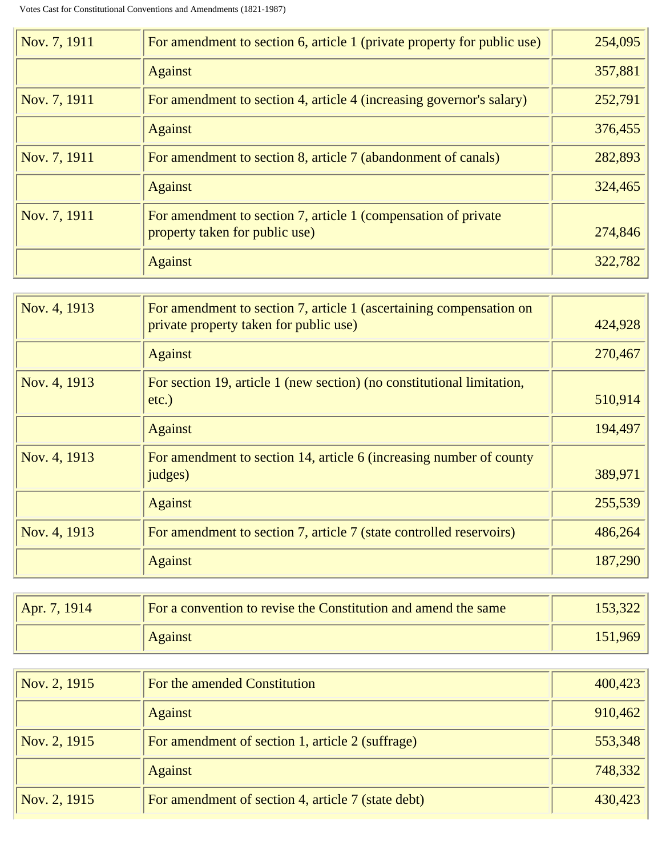| Nov. 7, 1911 | For amendment to section 6, article 1 (private property for public use)                          | 254,095 |
|--------------|--------------------------------------------------------------------------------------------------|---------|
|              | <b>Against</b>                                                                                   | 357,881 |
| Nov. 7, 1911 | For amendment to section 4, article 4 (increasing governor's salary)                             | 252,791 |
|              | <b>Against</b>                                                                                   | 376,455 |
| Nov. 7, 1911 | For amendment to section 8, article 7 (abandonment of canals)                                    | 282,893 |
|              | <b>Against</b>                                                                                   | 324,465 |
| Nov. 7, 1911 | For amendment to section 7, article 1 (compensation of private<br>property taken for public use) | 274,846 |
|              | <b>Against</b>                                                                                   | 322,782 |

| Nov. 4, 1913 | For amendment to section 7, article 1 (ascertaining compensation on<br>private property taken for public use) | 424,928 |
|--------------|---------------------------------------------------------------------------------------------------------------|---------|
|              | <b>Against</b>                                                                                                | 270,467 |
| Nov. 4, 1913 | For section 19, article 1 (new section) (no constitutional limitation,<br>etc.)                               | 510,914 |
|              | <b>Against</b>                                                                                                | 194,497 |
| Nov. 4, 1913 | For amendment to section 14, article 6 (increasing number of county<br>judges)                                | 389,971 |
|              | <b>Against</b>                                                                                                | 255,539 |
| Nov. 4, 1913 | For amendment to section 7, article 7 (state controlled reservoirs)                                           | 486,264 |
|              | <b>Against</b>                                                                                                | 187,290 |

| Apr. 7, 1914 | For a convention to revise the Constitution and amend the same | 153,322 |
|--------------|----------------------------------------------------------------|---------|
|              | <b>Against</b>                                                 | 151,969 |

| Nov. 2, 1915 | For the amended Constitution                       | 400,423 |
|--------------|----------------------------------------------------|---------|
|              | <b>Against</b>                                     | 910,462 |
| Nov. 2, 1915 | For amendment of section 1, article 2 (suffrage)   | 553,348 |
|              | <b>Against</b>                                     | 748,332 |
| Nov. 2, 1915 | For amendment of section 4, article 7 (state debt) | 430,423 |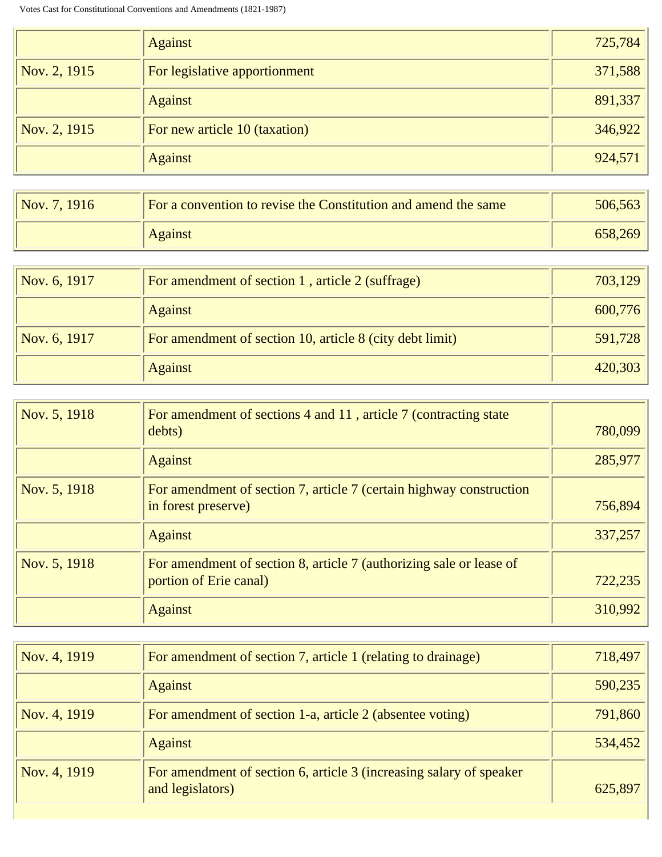|              | <b>Against</b>                | 725,784 |
|--------------|-------------------------------|---------|
| Nov. 2, 1915 | For legislative apportionment | 371,588 |
|              | <b>Against</b>                | 891,337 |
| Nov. 2, 1915 | For new article 10 (taxation) | 346,922 |
|              | <b>Against</b>                | 924,571 |

| Nov. 7, 1916 | For a convention to revise the Constitution and amend the same | 506,563 |
|--------------|----------------------------------------------------------------|---------|
|              | <b>Against</b>                                                 | 658,269 |

| Nov. 6, 1917 | For amendment of section 1, article 2 (suffrage)         | 703,129 |
|--------------|----------------------------------------------------------|---------|
|              | <b>Against</b>                                           | 600,776 |
| Nov. 6, 1917 | For amendment of section 10, article 8 (city debt limit) | 591,728 |
|              | <b>Against</b>                                           | 420,303 |

| Nov. 5, 1918 | For amendment of sections 4 and 11, article 7 (contracting state<br>debts)                    | 780,099 |
|--------------|-----------------------------------------------------------------------------------------------|---------|
|              | <b>Against</b>                                                                                | 285,977 |
| Nov. 5, 1918 | For amendment of section 7, article 7 (certain highway construction<br>in forest preserve)    | 756,894 |
|              | <b>Against</b>                                                                                | 337,257 |
| Nov. 5, 1918 | For amendment of section 8, article 7 (authorizing sale or lease of<br>portion of Erie canal) | 722,235 |
|              | <b>Against</b>                                                                                | 310,992 |

| Nov. 4, 1919 | For amendment of section 7, article 1 (relating to drainage)                            | 718,497 |
|--------------|-----------------------------------------------------------------------------------------|---------|
|              | <b>Against</b>                                                                          | 590,235 |
| Nov. 4, 1919 | For amendment of section 1-a, article 2 (absentee voting)                               | 791,860 |
|              | <b>Against</b>                                                                          | 534,452 |
| Nov. 4, 1919 | For amendment of section 6, article 3 (increasing salary of speaker<br>and legislators) | 625,897 |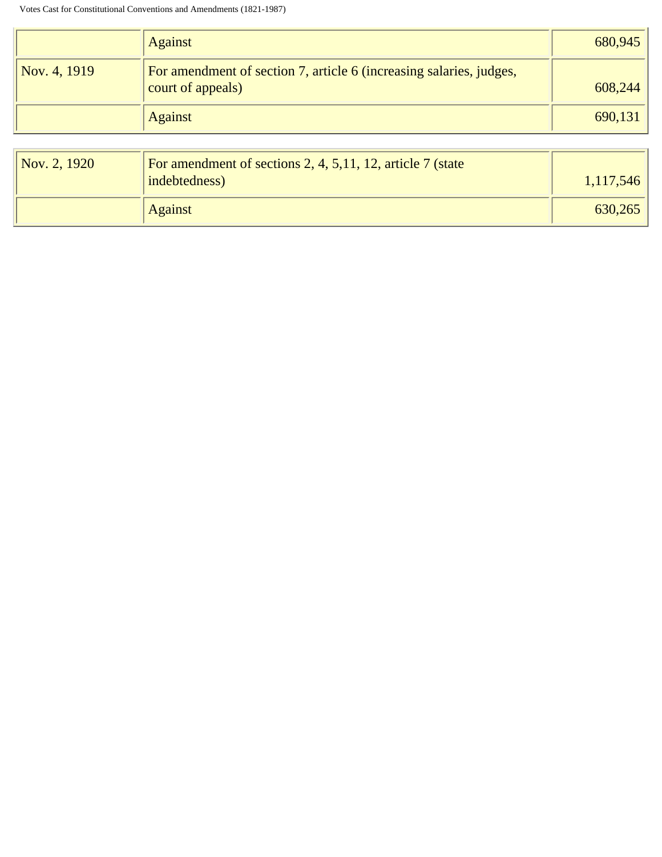|                       | <b>Against</b>                                                                           | 680,945 |
|-----------------------|------------------------------------------------------------------------------------------|---------|
| $\sqrt{Nov. 4, 1919}$ | For amendment of section 7, article 6 (increasing salaries, judges,<br>court of appeals) | 608,244 |
|                       | <b>Against</b>                                                                           | 690,131 |
|                       |                                                                                          |         |

| $\sqrt{Nov. 2, 1920}$ | For amendment of sections 2, 4, 5, 11, 12, article 7 (state<br>indebtedness) | 1,117,546 |
|-----------------------|------------------------------------------------------------------------------|-----------|
|                       | <b>Against</b>                                                               | 630,265   |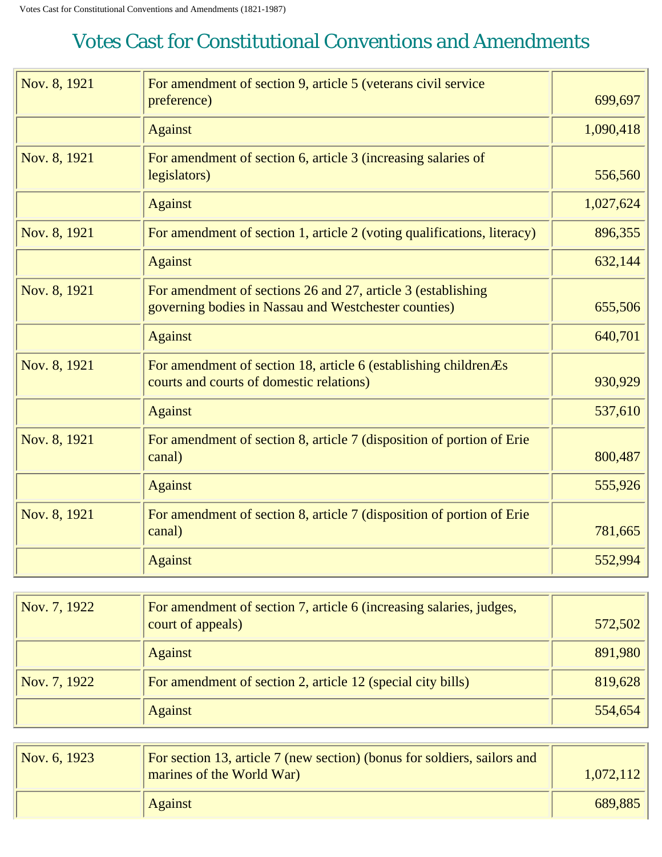<span id="page-13-0"></span>

| Nov. 8, 1921 | For amendment of section 9, article 5 (veterans civil service<br>preference)                                         | 699,697   |
|--------------|----------------------------------------------------------------------------------------------------------------------|-----------|
|              | <b>Against</b>                                                                                                       | 1,090,418 |
| Nov. 8, 1921 | For amendment of section 6, article 3 (increasing salaries of<br>legislators)                                        | 556,560   |
|              | <b>Against</b>                                                                                                       | 1,027,624 |
| Nov. 8, 1921 | For amendment of section 1, article 2 (voting qualifications, literacy)                                              | 896,355   |
|              | <b>Against</b>                                                                                                       | 632,144   |
| Nov. 8, 1921 | For amendment of sections 26 and 27, article 3 (establishing<br>governing bodies in Nassau and Westchester counties) | 655,506   |
|              | <b>Against</b>                                                                                                       | 640,701   |
| Nov. 8, 1921 | For amendment of section 18, article 6 (establishing children As<br>courts and courts of domestic relations)         | 930,929   |
|              | <b>Against</b>                                                                                                       | 537,610   |
| Nov. 8, 1921 | For amendment of section 8, article 7 (disposition of portion of Erie<br>canal)                                      | 800,487   |
|              | <b>Against</b>                                                                                                       | 555,926   |
| Nov. 8, 1921 | For amendment of section 8, article 7 (disposition of portion of Erie<br>canal)                                      | 781,665   |
|              | <b>Against</b>                                                                                                       | 552,994   |

| Nov. 7, 1922 | For amendment of section 7, article 6 (increasing salaries, judges,<br>court of appeals) | 572,502 |
|--------------|------------------------------------------------------------------------------------------|---------|
|              | <b>Against</b>                                                                           | 891,980 |
| Nov. 7, 1922 | For amendment of section 2, article 12 (special city bills)                              | 819,628 |
|              | <b>Against</b>                                                                           | 554,654 |

| Nov. 6, 1923 | For section 13, article 7 (new section) (bonus for soldiers, sailors and<br>marines of the World War) | 1,072,112 |
|--------------|-------------------------------------------------------------------------------------------------------|-----------|
|              | <b>Against</b>                                                                                        | 689,885   |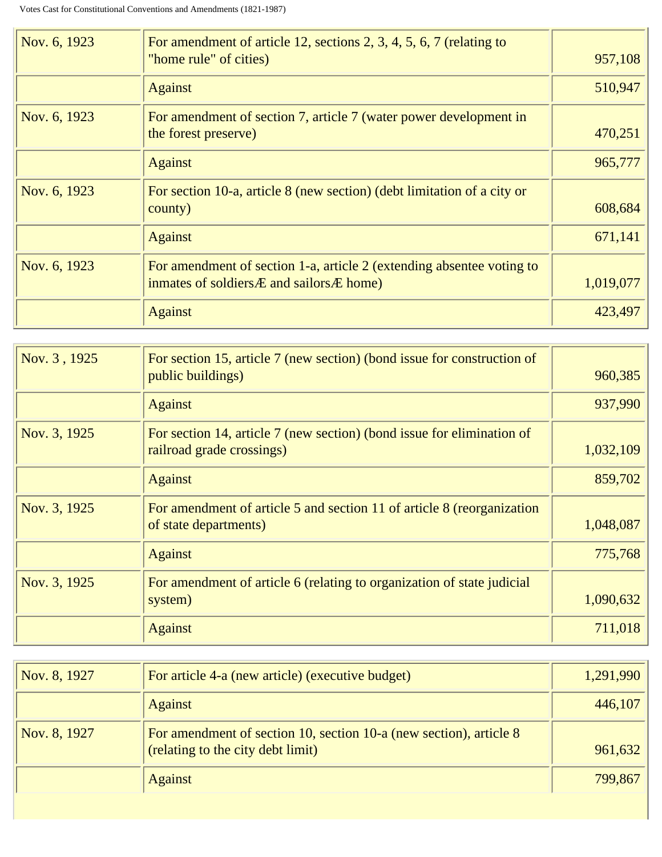| Nov. 6, 1923 | For amendment of article 12, sections 2, 3, 4, 5, 6, 7 (relating to<br>"home rule" of cities)                                    | 957,108   |
|--------------|----------------------------------------------------------------------------------------------------------------------------------|-----------|
|              | <b>Against</b>                                                                                                                   | 510,947   |
| Nov. 6, 1923 | For amendment of section 7, article 7 (water power development in<br>the forest preserve)                                        | 470,251   |
|              | <b>Against</b>                                                                                                                   | 965,777   |
| Nov. 6, 1923 | For section 10-a, article 8 (new section) (debt limitation of a city or<br>county)                                               | 608,684   |
|              | <b>Against</b>                                                                                                                   | 671,141   |
| Nov. 6, 1923 | For amendment of section 1-a, article 2 (extending absentee voting to<br>inmates of soldiers <i>A</i> and sailors <i>A</i> home) | 1,019,077 |
|              | <b>Against</b>                                                                                                                   | 423,497   |

| Nov. 3, 1925 | For section 15, article 7 (new section) (bond issue for construction of<br>public buildings)        | 960,385   |
|--------------|-----------------------------------------------------------------------------------------------------|-----------|
|              | <b>Against</b>                                                                                      | 937,990   |
| Nov. 3, 1925 | For section 14, article 7 (new section) (bond issue for elimination of<br>railroad grade crossings) | 1,032,109 |
|              | <b>Against</b>                                                                                      | 859,702   |
| Nov. 3, 1925 | For amendment of article 5 and section 11 of article 8 (reorganization<br>of state departments)     | 1,048,087 |
|              | <b>Against</b>                                                                                      | 775,768   |
| Nov. 3, 1925 | For amendment of article 6 (relating to organization of state judicial<br>system)                   | 1,090,632 |
|              | <b>Against</b>                                                                                      | 711,018   |

| Nov. 8, 1927 | For article 4-a (new article) (executive budget)                                                        | 1,291,990 |
|--------------|---------------------------------------------------------------------------------------------------------|-----------|
|              | <b>Against</b>                                                                                          | 446,107   |
| Nov. 8, 1927 | For amendment of section 10, section 10-a (new section), article 8<br>(relating to the city debt limit) | 961,632   |
|              | <b>Against</b>                                                                                          | 799,867   |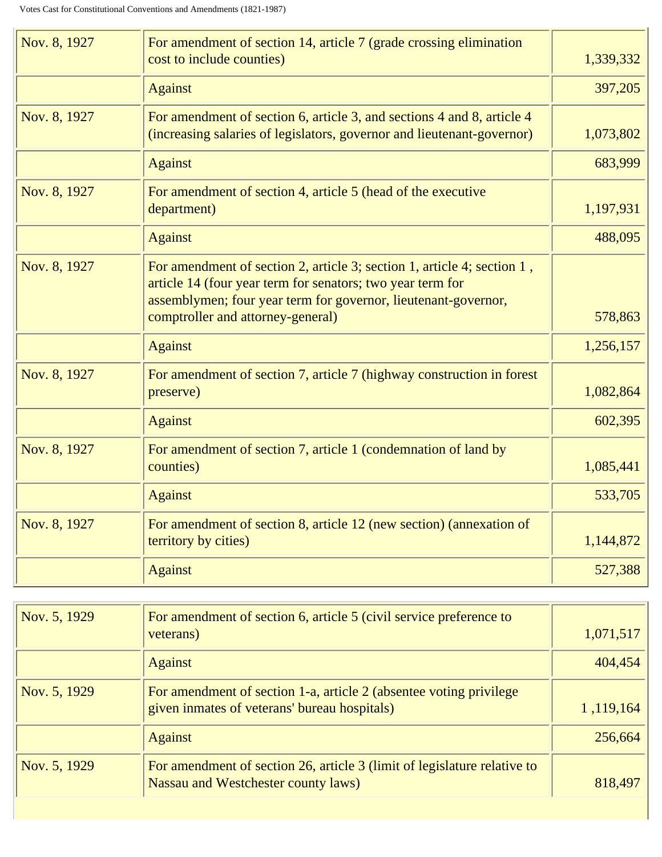| Nov. 8, 1927 | For amendment of section 14, article 7 (grade crossing elimination<br>cost to include counties)                                                                                                                                              | 1,339,332 |
|--------------|----------------------------------------------------------------------------------------------------------------------------------------------------------------------------------------------------------------------------------------------|-----------|
|              | <b>Against</b>                                                                                                                                                                                                                               | 397,205   |
| Nov. 8, 1927 | For amendment of section 6, article 3, and sections 4 and 8, article 4<br>(increasing salaries of legislators, governor and lieutenant-governor)                                                                                             | 1,073,802 |
|              | <b>Against</b>                                                                                                                                                                                                                               | 683,999   |
| Nov. 8, 1927 | For amendment of section 4, article 5 (head of the executive<br>department)                                                                                                                                                                  | 1,197,931 |
|              | <b>Against</b>                                                                                                                                                                                                                               | 488,095   |
| Nov. 8, 1927 | For amendment of section 2, article 3; section 1, article 4; section 1,<br>article 14 (four year term for senators; two year term for<br>assemblymen; four year term for governor, lieutenant-governor,<br>comptroller and attorney-general) | 578,863   |
|              | <b>Against</b>                                                                                                                                                                                                                               | 1,256,157 |
| Nov. 8, 1927 | For amendment of section 7, article 7 (highway construction in forest<br>preserve)                                                                                                                                                           | 1,082,864 |
|              | <b>Against</b>                                                                                                                                                                                                                               | 602,395   |
| Nov. 8, 1927 | For amendment of section 7, article 1 (condemnation of land by<br>counties)                                                                                                                                                                  | 1,085,441 |
|              | <b>Against</b>                                                                                                                                                                                                                               | 533,705   |
| Nov. 8, 1927 | For amendment of section 8, article 12 (new section) (annexation of<br>territory by cities)                                                                                                                                                  | 1,144,872 |
|              | <b>Against</b>                                                                                                                                                                                                                               | 527,388   |

| Nov. 5, 1929 | For amendment of section 6, article 5 (civil service preference to<br>veterans) | 1,071,517 |
|--------------|---------------------------------------------------------------------------------|-----------|
|              | <b>Against</b>                                                                  | 404,454   |
| Nov. 5, 1929 | For amendment of section 1-a, article 2 (absentee voting privilege              |           |
|              | given inmates of veterans' bureau hospitals)                                    | 1,119,164 |
|              | <b>Against</b>                                                                  | 256,664   |
| Nov. 5, 1929 | For amendment of section 26, article 3 (limit of legislature relative to        |           |
|              | Nassau and Westchester county laws)                                             | 818,497   |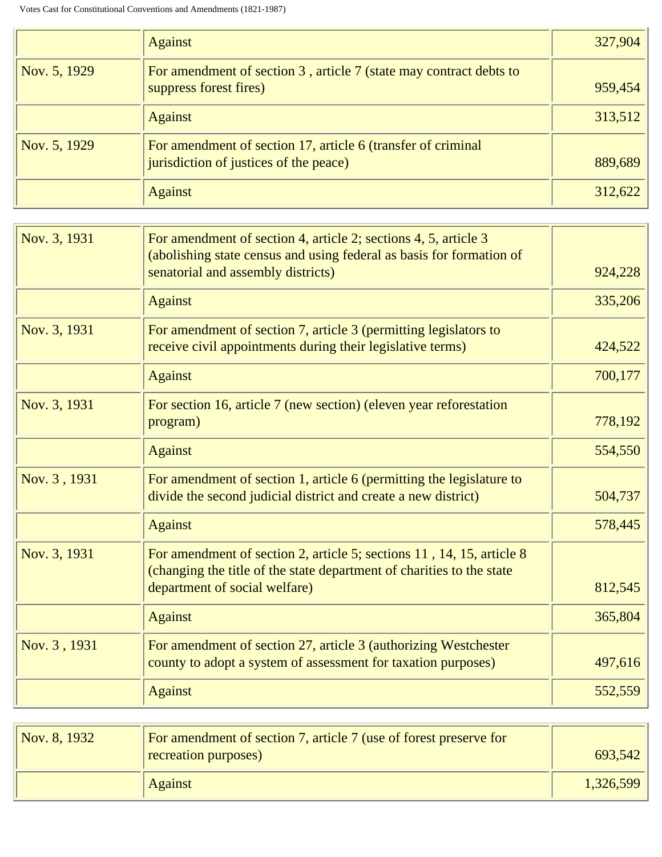|              | <b>Against</b>                                                                                         | 327,904 |
|--------------|--------------------------------------------------------------------------------------------------------|---------|
| Nov. 5, 1929 | For amendment of section 3, article 7 (state may contract debts to<br>suppress forest fires)           | 959,454 |
|              | <b>Against</b>                                                                                         | 313,512 |
| Nov. 5, 1929 | For amendment of section 17, article 6 (transfer of criminal<br>jurisdiction of justices of the peace) | 889,689 |
|              | <b>Against</b>                                                                                         | 312,622 |

| Nov. 3, 1931 | For amendment of section 4, article 2; sections 4, 5, article 3<br>(abolishing state census and using federal as basis for formation of<br>senatorial and assembly districts)   | 924,228 |
|--------------|---------------------------------------------------------------------------------------------------------------------------------------------------------------------------------|---------|
|              | <b>Against</b>                                                                                                                                                                  | 335,206 |
| Nov. 3, 1931 | For amendment of section 7, article 3 (permitting legislators to<br>receive civil appointments during their legislative terms)                                                  | 424,522 |
|              | <b>Against</b>                                                                                                                                                                  | 700,177 |
| Nov. 3, 1931 | For section 16, article 7 (new section) (eleven year reforestation<br>program)                                                                                                  | 778,192 |
|              | <b>Against</b>                                                                                                                                                                  | 554,550 |
| Nov. 3, 1931 | For amendment of section 1, article 6 (permitting the legislature to<br>divide the second judicial district and create a new district)                                          | 504,737 |
|              | <b>Against</b>                                                                                                                                                                  | 578,445 |
| Nov. 3, 1931 | For amendment of section 2, article 5; sections 11, 14, 15, article 8<br>(changing the title of the state department of charities to the state<br>department of social welfare) | 812,545 |
|              | <b>Against</b>                                                                                                                                                                  | 365,804 |
| Nov. 3, 1931 | For amendment of section 27, article 3 (authorizing Westchester<br>county to adopt a system of assessment for taxation purposes)                                                | 497,616 |
|              | <b>Against</b>                                                                                                                                                                  | 552,559 |

| Nov. 8, 1932 | For amendment of section 7, article 7 (use of forest preserve for<br>recreation purposes) | 693,542   |
|--------------|-------------------------------------------------------------------------------------------|-----------|
|              | <b>Against</b>                                                                            | 1,326,599 |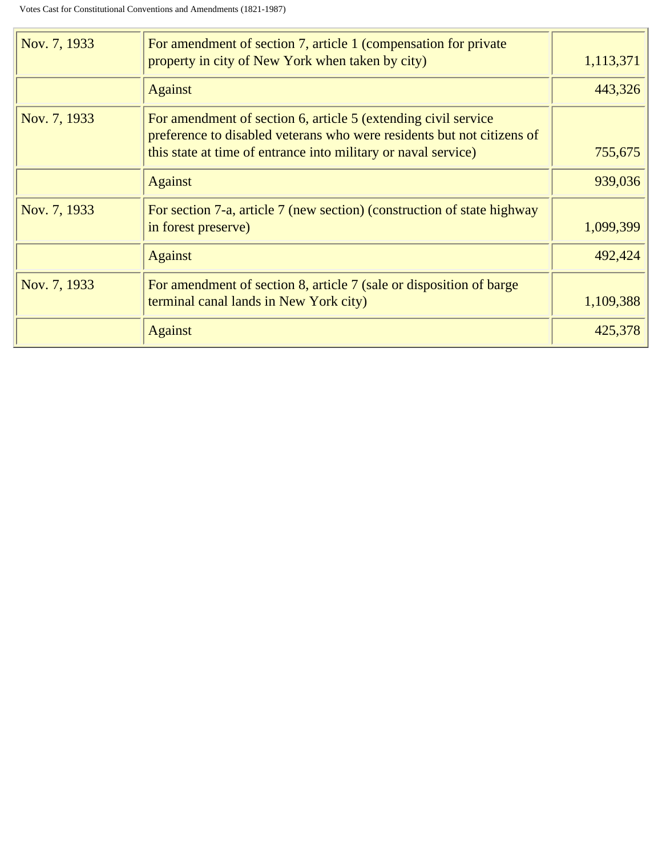| Nov. 7, 1933 | For amendment of section 7, article 1 (compensation for private<br>property in city of New York when taken by city)                                                                                        | 1,113,371 |
|--------------|------------------------------------------------------------------------------------------------------------------------------------------------------------------------------------------------------------|-----------|
|              | <b>Against</b>                                                                                                                                                                                             | 443,326   |
| Nov. 7, 1933 | For amendment of section 6, article 5 (extending civil service<br>preference to disabled veterans who were residents but not citizens of<br>this state at time of entrance into military or naval service) | 755,675   |
|              | <b>Against</b>                                                                                                                                                                                             | 939,036   |
| Nov. 7, 1933 | For section 7-a, article 7 (new section) (construction of state highway<br>in forest preserve)                                                                                                             | 1,099,399 |
|              | <b>Against</b>                                                                                                                                                                                             | 492,424   |
| Nov. 7, 1933 | For amendment of section 8, article 7 (sale or disposition of barge<br>terminal canal lands in New York city)                                                                                              | 1,109,388 |
|              | <b>Against</b>                                                                                                                                                                                             | 425,378   |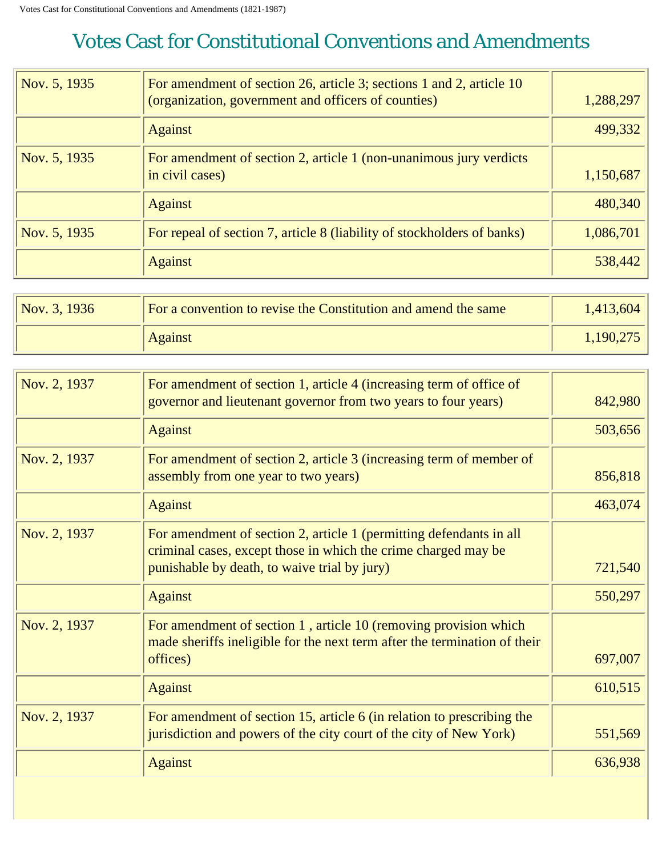<span id="page-18-0"></span>

| Nov. 5, 1935 | For amendment of section 26, article 3; sections 1 and 2, article 10<br>(organization, government and officers of counties) | 1,288,297 |
|--------------|-----------------------------------------------------------------------------------------------------------------------------|-----------|
|              | <b>Against</b>                                                                                                              | 499,332   |
| Nov. 5, 1935 | For amendment of section 2, article 1 (non-unanimous jury verdicts<br>in civil cases)                                       | 1,150,687 |
|              | <b>Against</b>                                                                                                              | 480,340   |
| Nov. 5, 1935 | For repeal of section 7, article 8 (liability of stockholders of banks)                                                     | 1,086,701 |
|              | <b>Against</b>                                                                                                              | 538,442   |

| $\sqrt{Nov. 3, 1936}$ | For a convention to revise the Constitution and amend the same | 1,413,604 |
|-----------------------|----------------------------------------------------------------|-----------|
|                       | <b>Against</b>                                                 | 1,190,275 |

| Nov. 2, 1937 | For amendment of section 1, article 4 (increasing term of office of<br>governor and lieutenant governor from two years to four years)                     | 842,980 |
|--------------|-----------------------------------------------------------------------------------------------------------------------------------------------------------|---------|
|              | <b>Against</b>                                                                                                                                            | 503,656 |
| Nov. 2, 1937 | For amendment of section 2, article 3 (increasing term of member of<br>assembly from one year to two years)                                               | 856,818 |
|              | <b>Against</b>                                                                                                                                            | 463,074 |
| Nov. 2, 1937 | For amendment of section 2, article 1 (permitting defendants in all<br>criminal cases, except those in which the crime charged may be                     |         |
|              | punishable by death, to waive trial by jury)                                                                                                              | 721,540 |
|              | <b>Against</b>                                                                                                                                            | 550,297 |
| Nov. 2, 1937 | For amendment of section 1, article 10 (removing provision which<br>made sheriffs ineligible for the next term after the termination of their<br>offices) | 697,007 |
|              | <b>Against</b>                                                                                                                                            | 610,515 |
| Nov. 2, 1937 | For amendment of section 15, article $6$ (in relation to prescribing the<br>jurisdiction and powers of the city court of the city of New York)            | 551,569 |
|              | <b>Against</b>                                                                                                                                            | 636,938 |
|              |                                                                                                                                                           |         |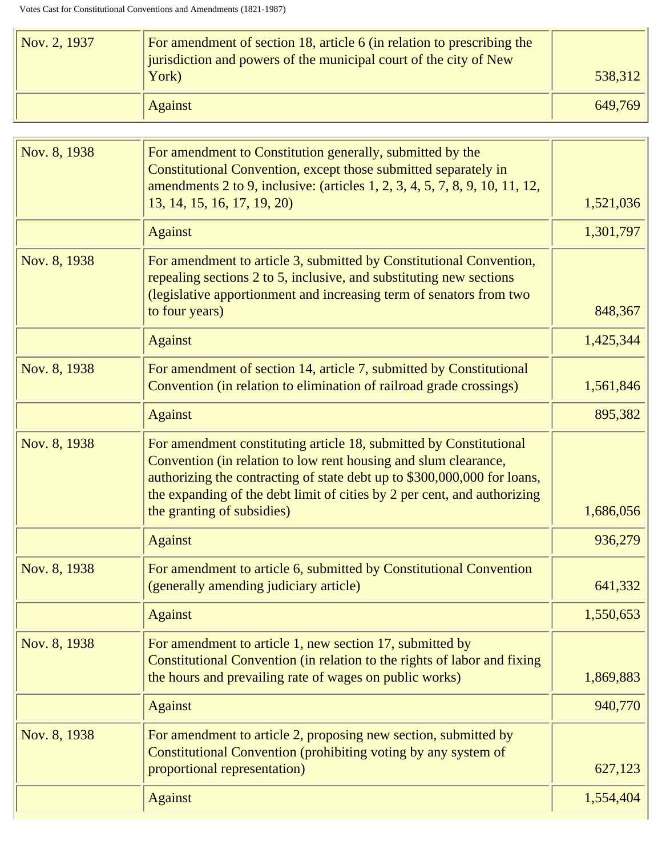| Nov. 2, 1937 | For amendment of section 18, article 6 (in relation to prescribing the<br>jurisdiction and powers of the municipal court of the city of New |         |
|--------------|---------------------------------------------------------------------------------------------------------------------------------------------|---------|
|              | York)                                                                                                                                       | 538,312 |
|              | <b>Against</b>                                                                                                                              | 649,769 |

| Nov. 8, 1938 | For amendment to Constitution generally, submitted by the<br>Constitutional Convention, except those submitted separately in<br>amendments 2 to 9, inclusive: (articles 1, 2, 3, 4, 5, 7, 8, 9, 10, 11, 12,                                                                                   |           |
|--------------|-----------------------------------------------------------------------------------------------------------------------------------------------------------------------------------------------------------------------------------------------------------------------------------------------|-----------|
|              | 13, 14, 15, 16, 17, 19, 20)                                                                                                                                                                                                                                                                   | 1,521,036 |
|              | <b>Against</b>                                                                                                                                                                                                                                                                                | 1,301,797 |
| Nov. 8, 1938 | For amendment to article 3, submitted by Constitutional Convention,<br>repealing sections 2 to 5, inclusive, and substituting new sections<br>(legislative apportionment and increasing term of senators from two<br>to four years)                                                           | 848,367   |
|              |                                                                                                                                                                                                                                                                                               |           |
|              | <b>Against</b>                                                                                                                                                                                                                                                                                | 1,425,344 |
| Nov. 8, 1938 | For amendment of section 14, article 7, submitted by Constitutional<br>Convention (in relation to elimination of railroad grade crossings)                                                                                                                                                    | 1,561,846 |
|              | <b>Against</b>                                                                                                                                                                                                                                                                                | 895,382   |
| Nov. 8, 1938 | For amendment constituting article 18, submitted by Constitutional<br>Convention (in relation to low rent housing and slum clearance,<br>authorizing the contracting of state debt up to \$300,000,000 for loans,<br>the expanding of the debt limit of cities by 2 per cent, and authorizing |           |
|              | the granting of subsidies)                                                                                                                                                                                                                                                                    | 1,686,056 |
|              | <b>Against</b>                                                                                                                                                                                                                                                                                | 936,279   |
| Nov. 8, 1938 | For amendment to article 6, submitted by Constitutional Convention<br>(generally amending judiciary article)                                                                                                                                                                                  | 641,332   |
|              | Against                                                                                                                                                                                                                                                                                       | 1,550,653 |
| Nov. 8, 1938 | For amendment to article 1, new section 17, submitted by<br>Constitutional Convention (in relation to the rights of labor and fixing<br>the hours and prevailing rate of wages on public works)                                                                                               | 1,869,883 |
|              | <b>Against</b>                                                                                                                                                                                                                                                                                | 940,770   |
| Nov. 8, 1938 | For amendment to article 2, proposing new section, submitted by<br>Constitutional Convention (prohibiting voting by any system of<br>proportional representation)                                                                                                                             | 627,123   |
|              | <b>Against</b>                                                                                                                                                                                                                                                                                | 1,554,404 |
|              |                                                                                                                                                                                                                                                                                               |           |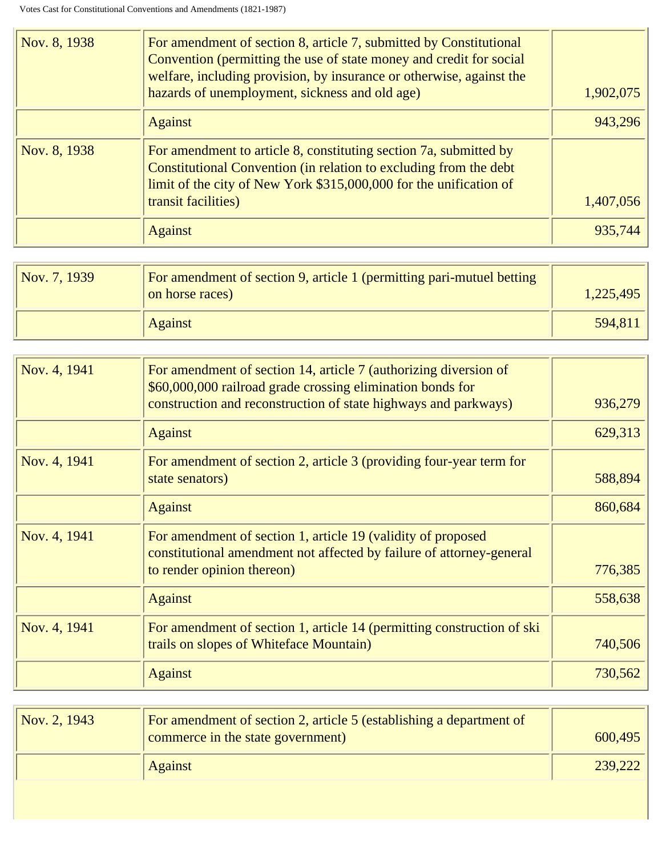| Nov. 8, 1938 | For amendment of section 8, article 7, submitted by Constitutional<br>Convention (permitting the use of state money and credit for social<br>welfare, including provision, by insurance or otherwise, against the<br>hazards of unemployment, sickness and old age) | 1,902,075 |
|--------------|---------------------------------------------------------------------------------------------------------------------------------------------------------------------------------------------------------------------------------------------------------------------|-----------|
|              | <b>Against</b>                                                                                                                                                                                                                                                      | 943,296   |
| Nov. 8, 1938 | For amendment to article 8, constituting section 7a, submitted by<br>Constitutional Convention (in relation to excluding from the debt<br>limit of the city of New York \$315,000,000 for the unification of<br>transit facilities)                                 | 1,407,056 |
|              | <b>Against</b>                                                                                                                                                                                                                                                      | 935,744   |

| $\sqrt{Nov. 7, 1939}$ | For amendment of section 9, article 1 (permitting pari-mutuel betting<br>on horse races) | 1,225,495 |
|-----------------------|------------------------------------------------------------------------------------------|-----------|
|                       | <b>Against</b>                                                                           | 594,811   |

| Nov. 4, 1941 | For amendment of section 14, article 7 (authorizing diversion of<br>\$60,000,000 railroad grade crossing elimination bonds for<br>construction and reconstruction of state highways and parkways) | 936,279 |
|--------------|---------------------------------------------------------------------------------------------------------------------------------------------------------------------------------------------------|---------|
|              | <b>Against</b>                                                                                                                                                                                    | 629,313 |
| Nov. 4, 1941 | For amendment of section 2, article 3 (providing four-year term for<br>state senators)                                                                                                            | 588,894 |
|              | <b>Against</b>                                                                                                                                                                                    | 860,684 |
| Nov. 4, 1941 | For amendment of section 1, article 19 (validity of proposed<br>constitutional amendment not affected by failure of attorney-general<br>to render opinion thereon)                                | 776,385 |
|              | <b>Against</b>                                                                                                                                                                                    | 558,638 |
| Nov. 4, 1941 | For amendment of section 1, article 14 (permitting construction of ski<br>trails on slopes of Whiteface Mountain)                                                                                 | 740,506 |
|              | <b>Against</b>                                                                                                                                                                                    | 730,562 |

| Nov. 2, 1943 | For amendment of section 2, article 5 (establishing a department of<br>commerce in the state government) | 600,495 |
|--------------|----------------------------------------------------------------------------------------------------------|---------|
|              | <b>Against</b>                                                                                           | 239,222 |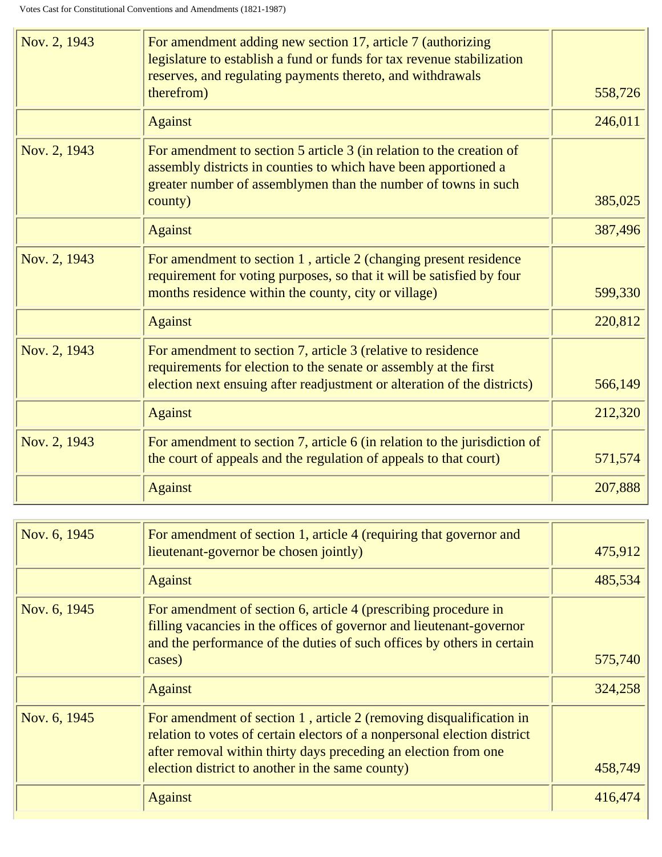| Nov. 2, 1943 | For amendment adding new section 17, article 7 (authorizing<br>legislature to establish a fund or funds for tax revenue stabilization<br>reserves, and regulating payments thereto, and withdrawals                  |         |
|--------------|----------------------------------------------------------------------------------------------------------------------------------------------------------------------------------------------------------------------|---------|
|              | therefrom)                                                                                                                                                                                                           | 558,726 |
|              | <b>Against</b>                                                                                                                                                                                                       | 246,011 |
| Nov. 2, 1943 | For amendment to section 5 article 3 (in relation to the creation of<br>assembly districts in counties to which have been apportioned a<br>greater number of assemblymen than the number of towns in such<br>county) | 385,025 |
|              | <b>Against</b>                                                                                                                                                                                                       | 387,496 |
| Nov. 2, 1943 | For amendment to section 1, article 2 (changing present residence<br>requirement for voting purposes, so that it will be satisfied by four<br>months residence within the county, city or village)                   | 599,330 |
|              | <b>Against</b>                                                                                                                                                                                                       | 220,812 |
| Nov. 2, 1943 | For amendment to section 7, article 3 (relative to residence<br>requirements for election to the senate or assembly at the first<br>election next ensuing after readjustment or alteration of the districts)         | 566,149 |
|              | <b>Against</b>                                                                                                                                                                                                       | 212,320 |
| Nov. 2, 1943 | For amendment to section 7, article 6 (in relation to the jurisdiction of<br>the court of appeals and the regulation of appeals to that court)                                                                       | 571,574 |
|              | <b>Against</b>                                                                                                                                                                                                       | 207,888 |

| Nov. 6, 1945 | For amendment of section 1, article 4 (requiring that governor and<br>lieutenant-governor be chosen jointly)                                                                                                                                                           | 475,912 |
|--------------|------------------------------------------------------------------------------------------------------------------------------------------------------------------------------------------------------------------------------------------------------------------------|---------|
|              | <b>Against</b>                                                                                                                                                                                                                                                         | 485,534 |
| Nov. 6, 1945 | For amendment of section 6, article 4 (prescribing procedure in<br>filling vacancies in the offices of governor and lieutenant-governor<br>and the performance of the duties of such offices by others in certain<br>cases)                                            | 575,740 |
|              | <b>Against</b>                                                                                                                                                                                                                                                         | 324,258 |
| Nov. 6, 1945 | For amendment of section 1, article 2 (removing disqualification in<br>relation to votes of certain electors of a nonpersonal election district<br>after removal within thirty days preceding an election from one<br>election district to another in the same county) | 458,749 |
|              |                                                                                                                                                                                                                                                                        |         |
|              | <b>Against</b>                                                                                                                                                                                                                                                         | 416,474 |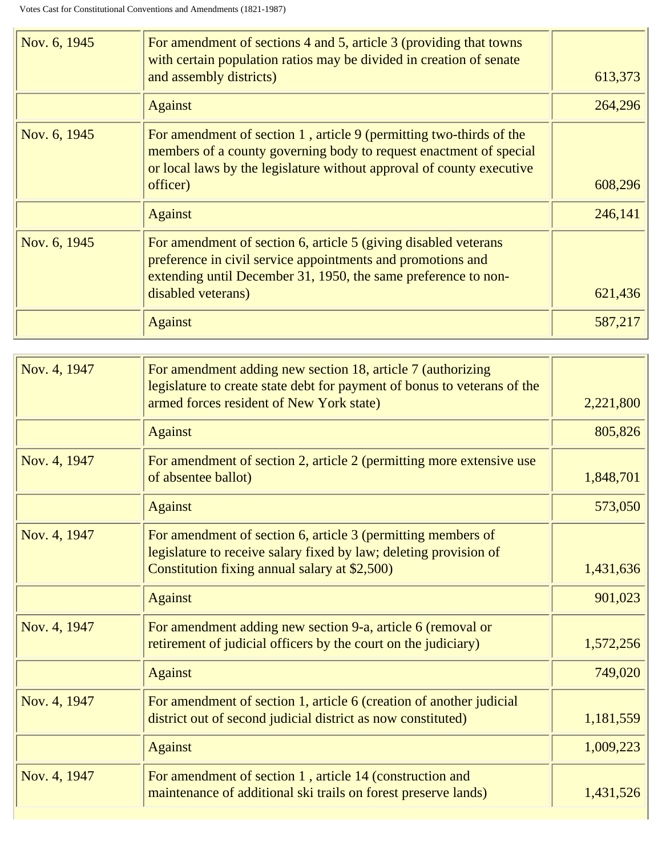| Nov. 6, 1945 | For amendment of sections 4 and 5, article 3 (providing that towns<br>with certain population ratios may be divided in creation of senate<br>and assembly districts)                                                           | 613,373 |
|--------------|--------------------------------------------------------------------------------------------------------------------------------------------------------------------------------------------------------------------------------|---------|
|              | <b>Against</b>                                                                                                                                                                                                                 | 264,296 |
| Nov. 6, 1945 | For amendment of section 1, article 9 (permitting two-thirds of the<br>members of a county governing body to request enactment of special<br>or local laws by the legislature without approval of county executive<br>officer) | 608,296 |
|              | <b>Against</b>                                                                                                                                                                                                                 | 246,141 |
| Nov. 6, 1945 | For amendment of section 6, article 5 (giving disabled veterans<br>preference in civil service appointments and promotions and<br>extending until December 31, 1950, the same preference to non-<br>disabled veterans)         | 621,436 |
|              | <b>Against</b>                                                                                                                                                                                                                 | 587,217 |

| Nov. 4, 1947 | For amendment adding new section 18, article 7 (authorizing<br>legislature to create state debt for payment of bonus to veterans of the<br>armed forces resident of New York state) | 2,221,800 |
|--------------|-------------------------------------------------------------------------------------------------------------------------------------------------------------------------------------|-----------|
|              | <b>Against</b>                                                                                                                                                                      | 805,826   |
| Nov. 4, 1947 | For amendment of section 2, article 2 (permitting more extensive use<br>of absentee ballot)                                                                                         | 1,848,701 |
|              | <b>Against</b>                                                                                                                                                                      | 573,050   |
| Nov. 4, 1947 | For amendment of section 6, article 3 (permitting members of<br>legislature to receive salary fixed by law; deleting provision of<br>Constitution fixing annual salary at \$2,500)  | 1,431,636 |
|              | <b>Against</b>                                                                                                                                                                      | 901,023   |
| Nov. 4, 1947 | For amendment adding new section 9-a, article 6 (removal or<br>retirement of judicial officers by the court on the judiciary)                                                       | 1,572,256 |
|              | <b>Against</b>                                                                                                                                                                      | 749,020   |
| Nov. 4, 1947 | For amendment of section 1, article 6 (creation of another judicial<br>district out of second judicial district as now constituted)                                                 | 1,181,559 |
|              | <b>Against</b>                                                                                                                                                                      | 1,009,223 |
| Nov. 4, 1947 | For amendment of section 1, article 14 (construction and<br>maintenance of additional ski trails on forest preserve lands)                                                          | 1,431,526 |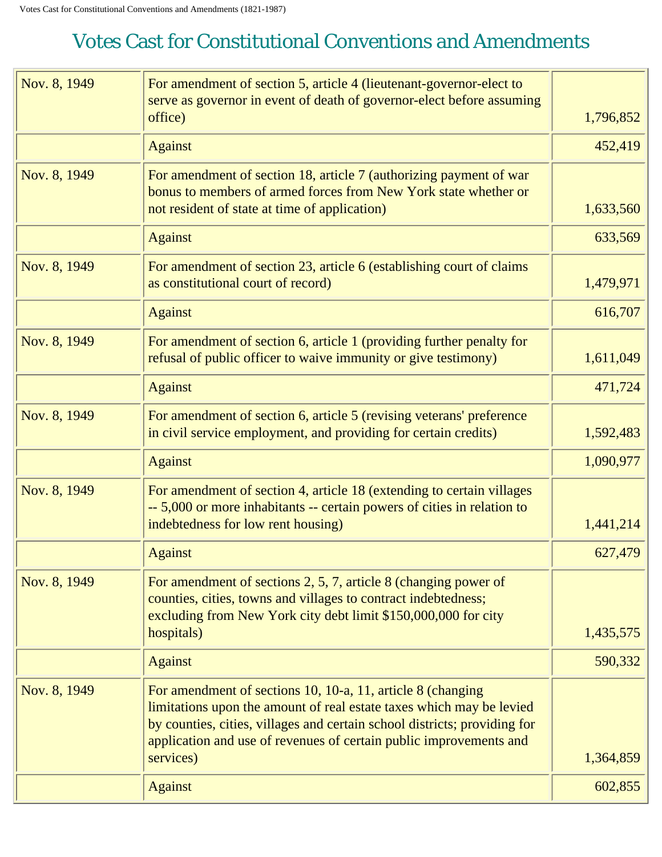<span id="page-23-0"></span>

| Nov. 8, 1949 | For amendment of section 5, article 4 (lieutenant-governor-elect to<br>serve as governor in event of death of governor-elect before assuming<br>office)                                                                                                                                             | 1,796,852 |
|--------------|-----------------------------------------------------------------------------------------------------------------------------------------------------------------------------------------------------------------------------------------------------------------------------------------------------|-----------|
|              | <b>Against</b>                                                                                                                                                                                                                                                                                      | 452,419   |
| Nov. 8, 1949 | For amendment of section 18, article 7 (authorizing payment of war<br>bonus to members of armed forces from New York state whether or<br>not resident of state at time of application)                                                                                                              | 1,633,560 |
|              | <b>Against</b>                                                                                                                                                                                                                                                                                      | 633,569   |
| Nov. 8, 1949 | For amendment of section 23, article 6 (establishing court of claims<br>as constitutional court of record)                                                                                                                                                                                          | 1,479,971 |
|              | <b>Against</b>                                                                                                                                                                                                                                                                                      | 616,707   |
| Nov. 8, 1949 | For amendment of section 6, article 1 (providing further penalty for<br>refusal of public officer to waive immunity or give testimony)                                                                                                                                                              | 1,611,049 |
|              | <b>Against</b>                                                                                                                                                                                                                                                                                      | 471,724   |
| Nov. 8, 1949 | For amendment of section 6, article 5 (revising veterans' preference<br>in civil service employment, and providing for certain credits)                                                                                                                                                             | 1,592,483 |
|              | <b>Against</b>                                                                                                                                                                                                                                                                                      | 1,090,977 |
| Nov. 8, 1949 | For amendment of section 4, article 18 (extending to certain villages<br>-- 5,000 or more inhabitants -- certain powers of cities in relation to<br>indebtedness for low rent housing)                                                                                                              | 1,441,214 |
|              | <b>Against</b>                                                                                                                                                                                                                                                                                      | 627,479   |
| Nov. 8, 1949 | For amendment of sections 2, 5, 7, article 8 (changing power of<br>counties, cities, towns and villages to contract indebtedness;<br>excluding from New York city debt limit \$150,000,000 for city<br>hospitals)                                                                                   | 1,435,575 |
|              | <b>Against</b>                                                                                                                                                                                                                                                                                      | 590,332   |
| Nov. 8, 1949 | For amendment of sections 10, 10-a, 11, article 8 (changing<br>limitations upon the amount of real estate taxes which may be levied<br>by counties, cities, villages and certain school districts; providing for<br>application and use of revenues of certain public improvements and<br>services) | 1,364,859 |
|              | <b>Against</b>                                                                                                                                                                                                                                                                                      | 602,855   |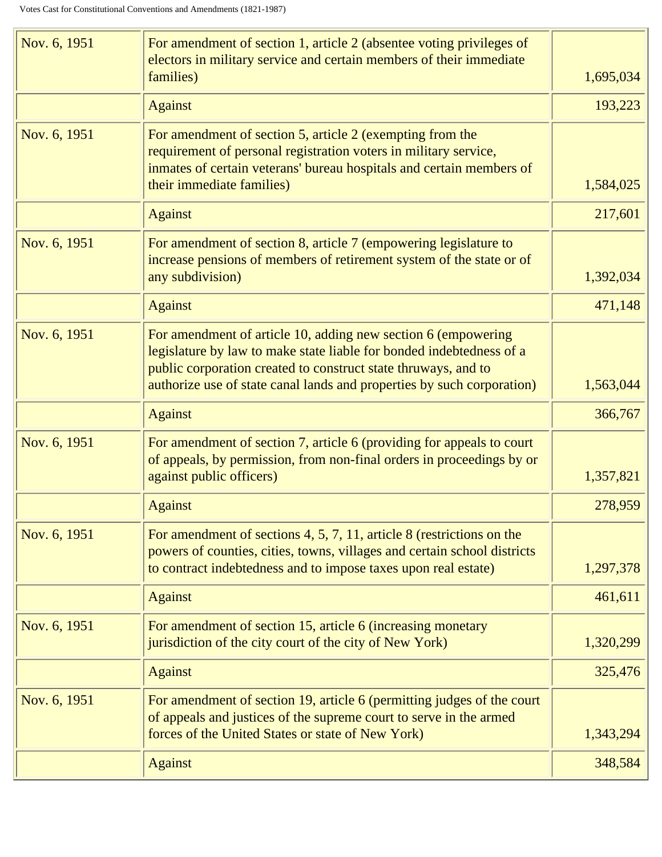| Nov. 6, 1951 | For amendment of section 1, article 2 (absentee voting privileges of<br>electors in military service and certain members of their immediate<br>families)                                                                           | 1,695,034 |
|--------------|------------------------------------------------------------------------------------------------------------------------------------------------------------------------------------------------------------------------------------|-----------|
|              | <b>Against</b>                                                                                                                                                                                                                     | 193,223   |
| Nov. 6, 1951 | For amendment of section 5, article 2 (exempting from the<br>requirement of personal registration voters in military service,<br>inmates of certain veterans' bureau hospitals and certain members of<br>their immediate families) | 1,584,025 |
|              | <b>Against</b>                                                                                                                                                                                                                     | 217,601   |
| Nov. 6, 1951 | For amendment of section 8, article 7 (empowering legislature to<br>increase pensions of members of retirement system of the state or of<br>any subdivision)                                                                       | 1,392,034 |
|              | <b>Against</b>                                                                                                                                                                                                                     | 471,148   |
| Nov. 6, 1951 | For amendment of article 10, adding new section 6 (empowering<br>legislature by law to make state liable for bonded indebtedness of a<br>public corporation created to construct state thruways, and to                            |           |
|              | authorize use of state canal lands and properties by such corporation)                                                                                                                                                             | 1,563,044 |
|              | <b>Against</b>                                                                                                                                                                                                                     | 366,767   |
| Nov. 6, 1951 | For amendment of section 7, article 6 (providing for appeals to court<br>of appeals, by permission, from non-final orders in proceedings by or<br>against public officers)                                                         | 1,357,821 |
|              | <b>Against</b>                                                                                                                                                                                                                     | 278,959   |
| Nov. 6, 1951 | For amendment of sections 4, 5, 7, 11, article 8 (restrictions on the<br>powers of counties, cities, towns, villages and certain school districts<br>to contract indebtedness and to impose taxes upon real estate)                | 1,297,378 |
|              | <b>Against</b>                                                                                                                                                                                                                     | 461,611   |
| Nov. 6, 1951 | For amendment of section 15, article 6 (increasing monetary<br>jurisdiction of the city court of the city of New York)                                                                                                             | 1,320,299 |
|              | <b>Against</b>                                                                                                                                                                                                                     | 325,476   |
| Nov. 6, 1951 | For amendment of section 19, article 6 (permitting judges of the court<br>of appeals and justices of the supreme court to serve in the armed                                                                                       |           |
|              | forces of the United States or state of New York)                                                                                                                                                                                  | 1,343,294 |
|              | <b>Against</b>                                                                                                                                                                                                                     | 348,584   |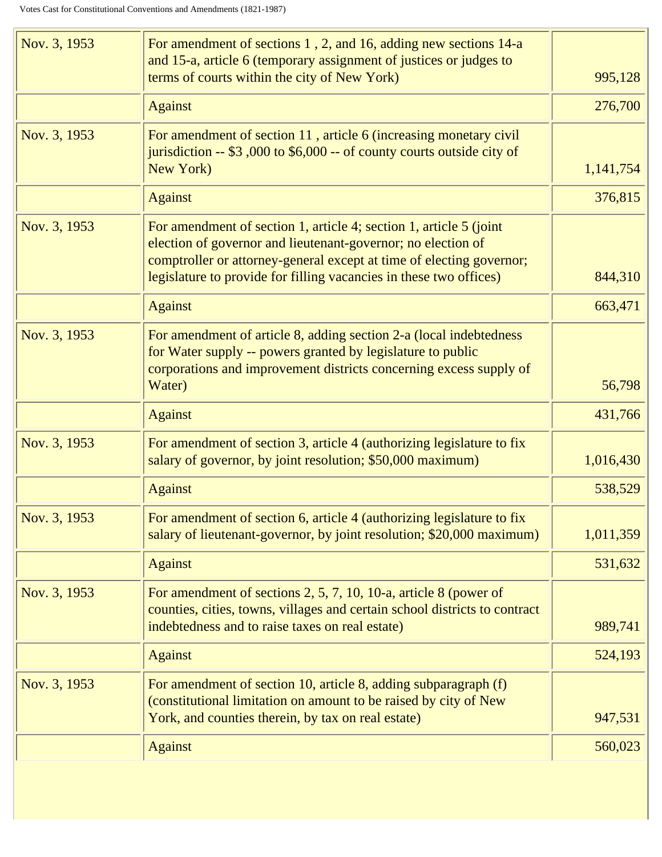| Nov. 3, 1953 | For amendment of sections 1, 2, and 16, adding new sections 14-a<br>and 15-a, article 6 (temporary assignment of justices or judges to                                                                                                                                           |           |
|--------------|----------------------------------------------------------------------------------------------------------------------------------------------------------------------------------------------------------------------------------------------------------------------------------|-----------|
|              | terms of courts within the city of New York)                                                                                                                                                                                                                                     | 995,128   |
|              | <b>Against</b>                                                                                                                                                                                                                                                                   | 276,700   |
| Nov. 3, 1953 | For amendment of section 11, article 6 (increasing monetary civil<br>jurisdiction -- \$3,000 to \$6,000 -- of county courts outside city of<br>New York)                                                                                                                         | 1,141,754 |
|              | <b>Against</b>                                                                                                                                                                                                                                                                   | 376,815   |
| Nov. 3, 1953 | For amendment of section 1, article 4; section 1, article 5 (joint<br>election of governor and lieutenant-governor; no election of<br>comptroller or attorney-general except at time of electing governor;<br>legislature to provide for filling vacancies in these two offices) | 844,310   |
|              |                                                                                                                                                                                                                                                                                  |           |
|              | <b>Against</b>                                                                                                                                                                                                                                                                   | 663,471   |
| Nov. 3, 1953 | For amendment of article 8, adding section 2-a (local indebtedness<br>for Water supply -- powers granted by legislature to public<br>corporations and improvement districts concerning excess supply of                                                                          |           |
|              | Water)                                                                                                                                                                                                                                                                           | 56,798    |
|              | <b>Against</b>                                                                                                                                                                                                                                                                   | 431,766   |
| Nov. 3, 1953 | For amendment of section 3, article 4 (authorizing legislature to fix<br>salary of governor, by joint resolution; \$50,000 maximum)                                                                                                                                              | 1,016,430 |
|              | <b>Against</b>                                                                                                                                                                                                                                                                   | 538,529   |
| Nov. 3, 1953 | For amendment of section 6, article 4 (authorizing legislature to fix<br>salary of lieutenant-governor, by joint resolution; \$20,000 maximum)                                                                                                                                   | 1,011,359 |
|              | <b>Against</b>                                                                                                                                                                                                                                                                   | 531,632   |
| Nov. 3, 1953 | For amendment of sections $2, 5, 7, 10, 10$ -a, article 8 (power of<br>counties, cities, towns, villages and certain school districts to contract<br>indebtedness and to raise taxes on real estate)                                                                             | 989,741   |
|              | <b>Against</b>                                                                                                                                                                                                                                                                   | 524,193   |
| Nov. 3, 1953 | For amendment of section 10, article 8, adding subparagraph (f)<br>(constitutional limitation on amount to be raised by city of New<br>York, and counties therein, by tax on real estate)                                                                                        | 947,531   |
|              | <b>Against</b>                                                                                                                                                                                                                                                                   | 560,023   |
|              |                                                                                                                                                                                                                                                                                  |           |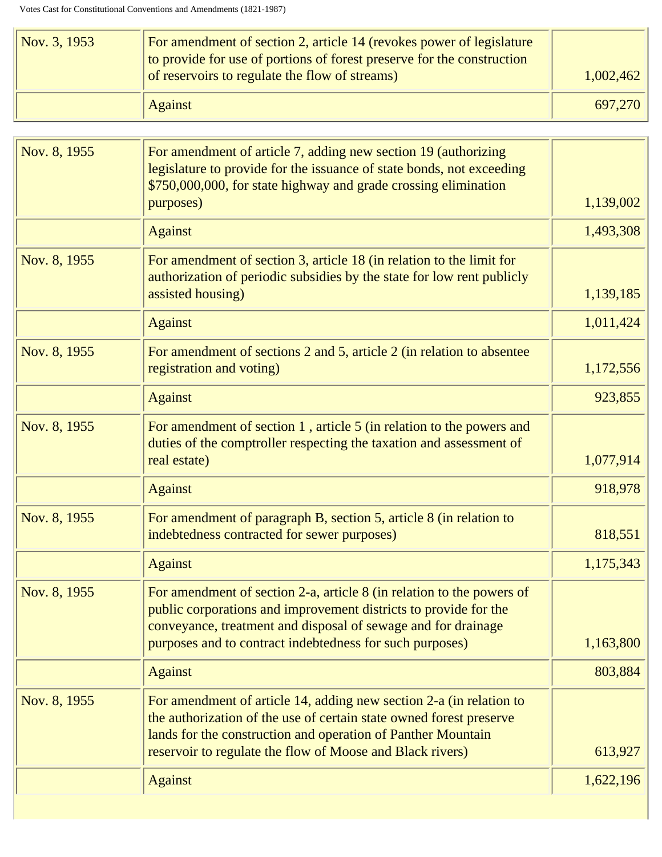| $\sqrt{Nov. 3, 1953}$ | For amendment of section 2, article 14 (revokes power of legislature<br>to provide for use of portions of forest preserve for the construction<br>of reservoirs to regulate the flow of streams) | 1,002,462 |
|-----------------------|--------------------------------------------------------------------------------------------------------------------------------------------------------------------------------------------------|-----------|
|                       | <b>Against</b>                                                                                                                                                                                   | 697,270   |

| Nov. 8, 1955 | For amendment of article 7, adding new section 19 (authorizing<br>legislature to provide for the issuance of state bonds, not exceeding<br>\$750,000,000, for state highway and grade crossing elimination<br>purposes)                                                 | 1,139,002 |
|--------------|-------------------------------------------------------------------------------------------------------------------------------------------------------------------------------------------------------------------------------------------------------------------------|-----------|
|              | <b>Against</b>                                                                                                                                                                                                                                                          | 1,493,308 |
| Nov. 8, 1955 | For amendment of section 3, article 18 (in relation to the limit for<br>authorization of periodic subsidies by the state for low rent publicly<br>assisted housing)                                                                                                     | 1,139,185 |
|              | <b>Against</b>                                                                                                                                                                                                                                                          | 1,011,424 |
| Nov. 8, 1955 | For amendment of sections 2 and 5, article 2 (in relation to absentee<br>registration and voting)                                                                                                                                                                       | 1,172,556 |
|              | <b>Against</b>                                                                                                                                                                                                                                                          | 923,855   |
| Nov. 8, 1955 | For amendment of section 1, article 5 (in relation to the powers and<br>duties of the comptroller respecting the taxation and assessment of<br>real estate)                                                                                                             | 1,077,914 |
|              | <b>Against</b>                                                                                                                                                                                                                                                          | 918,978   |
| Nov. 8, 1955 | For amendment of paragraph B, section 5, article 8 (in relation to<br>indebtedness contracted for sewer purposes)                                                                                                                                                       | 818,551   |
|              | <b>Against</b>                                                                                                                                                                                                                                                          | 1,175,343 |
| Nov. 8, 1955 | For amendment of section 2-a, article 8 (in relation to the powers of<br>public corporations and improvement districts to provide for the<br>conveyance, treatment and disposal of sewage and for drainage<br>purposes and to contract indebtedness for such purposes)  | 1,163,800 |
|              | <b>Against</b>                                                                                                                                                                                                                                                          | 803,884   |
| Nov. 8, 1955 | For amendment of article 14, adding new section 2-a (in relation to<br>the authorization of the use of certain state owned forest preserve<br>lands for the construction and operation of Panther Mountain<br>reservoir to regulate the flow of Moose and Black rivers) | 613,927   |
|              | <b>Against</b>                                                                                                                                                                                                                                                          | 1,622,196 |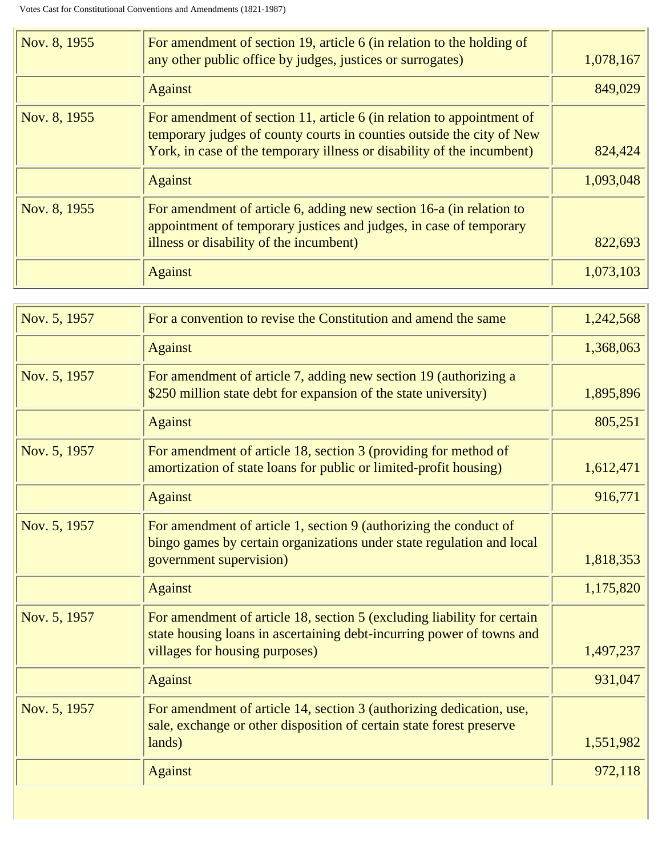| Nov. 8, 1955 | For amendment of section 19, article 6 (in relation to the holding of<br>any other public office by judges, justices or surrogates)                                                                                      | 1,078,167 |
|--------------|--------------------------------------------------------------------------------------------------------------------------------------------------------------------------------------------------------------------------|-----------|
|              | <b>Against</b>                                                                                                                                                                                                           | 849,029   |
| Nov. 8, 1955 | For amendment of section 11, article 6 (in relation to appointment of<br>temporary judges of county courts in counties outside the city of New<br>York, in case of the temporary illness or disability of the incumbent) | 824,424   |
|              | <b>Against</b>                                                                                                                                                                                                           | 1,093,048 |
| Nov. 8, 1955 | For amendment of article 6, adding new section 16-a (in relation to<br>appointment of temporary justices and judges, in case of temporary<br>illness or disability of the incumbent)                                     | 822,693   |
|              | <b>Against</b>                                                                                                                                                                                                           | 1,073,103 |
|              |                                                                                                                                                                                                                          |           |

| Nov. 5, 1957 | For a convention to revise the Constitution and amend the same                                                                                                                     | 1,242,568 |
|--------------|------------------------------------------------------------------------------------------------------------------------------------------------------------------------------------|-----------|
|              | <b>Against</b>                                                                                                                                                                     | 1,368,063 |
| Nov. 5, 1957 | For amendment of article 7, adding new section 19 (authorizing a<br>\$250 million state debt for expansion of the state university)                                                | 1,895,896 |
|              | <b>Against</b>                                                                                                                                                                     | 805,251   |
| Nov. 5, 1957 | For amendment of article 18, section 3 (providing for method of<br>amortization of state loans for public or limited-profit housing)                                               | 1,612,471 |
|              | <b>Against</b>                                                                                                                                                                     | 916,771   |
| Nov. 5, 1957 | For amendment of article 1, section 9 (authorizing the conduct of<br>bingo games by certain organizations under state regulation and local<br>government supervision)              | 1,818,353 |
|              | <b>Against</b>                                                                                                                                                                     | 1,175,820 |
| Nov. 5, 1957 | For amendment of article 18, section 5 (excluding liability for certain<br>state housing loans in ascertaining debt-incurring power of towns and<br>villages for housing purposes) | 1,497,237 |
|              | <b>Against</b>                                                                                                                                                                     | 931,047   |
| Nov. 5, 1957 | For amendment of article 14, section 3 (authorizing dedication, use,<br>sale, exchange or other disposition of certain state forest preserve<br>lands)                             | 1,551,982 |
|              | <b>Against</b>                                                                                                                                                                     | 972,118   |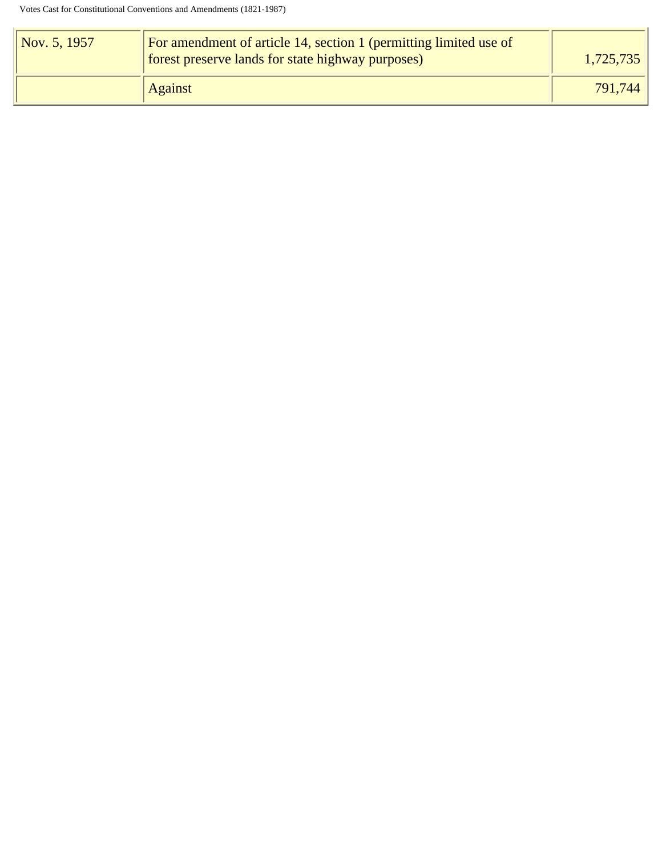| $\sqrt{Nov. 5, 1957}$ | For amendment of article 14, section 1 (permitting limited use of<br>forest preserve lands for state highway purposes) | 1,725,735 |
|-----------------------|------------------------------------------------------------------------------------------------------------------------|-----------|
|                       | <b>Against</b>                                                                                                         | 791,744   |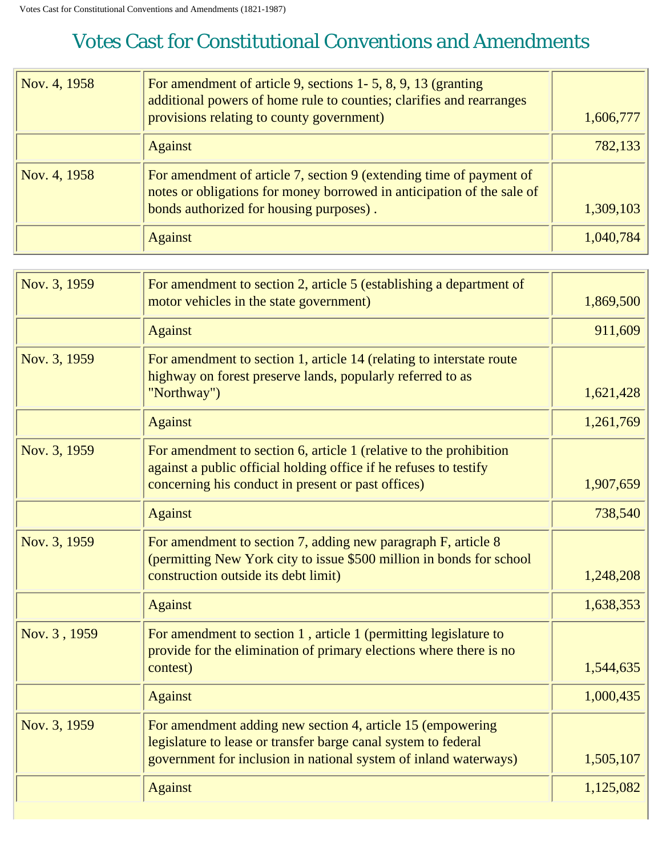<span id="page-29-0"></span>

| Nov. 4, 1958 | For amendment of article 9, sections 1-5, 8, 9, 13 (granting<br>additional powers of home rule to counties; clarifies and rearranges<br>provisions relating to county government)        | 1,606,777 |
|--------------|------------------------------------------------------------------------------------------------------------------------------------------------------------------------------------------|-----------|
|              | <b>Against</b>                                                                                                                                                                           | 782,133   |
| Nov. 4, 1958 | For amendment of article 7, section 9 (extending time of payment of<br>notes or obligations for money borrowed in anticipation of the sale of<br>bonds authorized for housing purposes). | 1,309,103 |
|              | <b>Against</b>                                                                                                                                                                           | 1,040,784 |

| Nov. 3, 1959 | For amendment to section 2, article 5 (establishing a department of<br>motor vehicles in the state government)                                                                                   | 1,869,500 |
|--------------|--------------------------------------------------------------------------------------------------------------------------------------------------------------------------------------------------|-----------|
|              | <b>Against</b>                                                                                                                                                                                   | 911,609   |
| Nov. 3, 1959 | For amendment to section 1, article 14 (relating to interstate route<br>highway on forest preserve lands, popularly referred to as<br>"Northway")                                                | 1,621,428 |
|              | <b>Against</b>                                                                                                                                                                                   | 1,261,769 |
| Nov. 3, 1959 | For amendment to section 6, article 1 (relative to the prohibition<br>against a public official holding office if he refuses to testify<br>concerning his conduct in present or past offices)    | 1,907,659 |
|              | <b>Against</b>                                                                                                                                                                                   | 738,540   |
| Nov. 3, 1959 | For amendment to section 7, adding new paragraph F, article 8<br>(permitting New York city to issue \$500 million in bonds for school<br>construction outside its debt limit)                    | 1,248,208 |
|              | <b>Against</b>                                                                                                                                                                                   | 1,638,353 |
| Nov. 3, 1959 | For amendment to section 1, article 1 (permitting legislature to<br>provide for the elimination of primary elections where there is no<br>contest)                                               | 1,544,635 |
|              | <b>Against</b>                                                                                                                                                                                   | 1,000,435 |
| Nov. 3, 1959 | For amendment adding new section 4, article 15 (empowering<br>legislature to lease or transfer barge canal system to federal<br>government for inclusion in national system of inland waterways) | 1,505,107 |
|              | <b>Against</b>                                                                                                                                                                                   | 1,125,082 |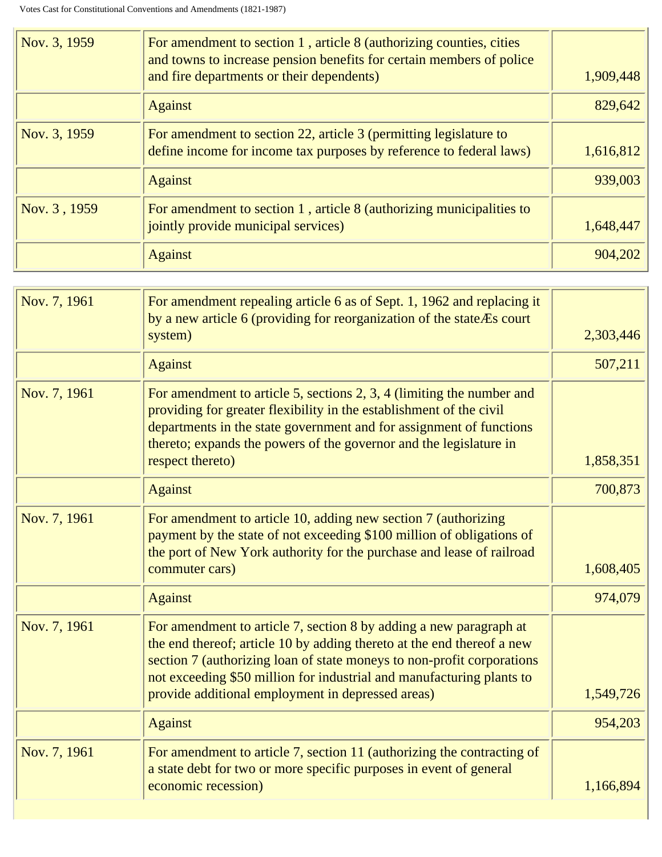| Nov. 3, 1959 | For amendment to section 1, article 8 (authorizing counties, cities<br>and towns to increase pension benefits for certain members of police<br>and fire departments or their dependents) | 1,909,448 |
|--------------|------------------------------------------------------------------------------------------------------------------------------------------------------------------------------------------|-----------|
|              | <b>Against</b>                                                                                                                                                                           | 829,642   |
| Nov. 3, 1959 | For amendment to section 22, article 3 (permitting legislature to<br>define income for income tax purposes by reference to federal laws)                                                 | 1,616,812 |
|              | <b>Against</b>                                                                                                                                                                           | 939,003   |
| Nov. 3, 1959 | For amendment to section $1$ , article $8$ (authorizing municipalities to<br>jointly provide municipal services)                                                                         | 1,648,447 |
|              | <b>Against</b>                                                                                                                                                                           | 904,202   |

| Nov. 7, 1961 | For amendment repealing article 6 as of Sept. 1, 1962 and replacing it<br>by a new article 6 (providing for reorganization of the state <i>E</i> s court<br>system)                                                                                                                                                                                  | 2,303,446 |
|--------------|------------------------------------------------------------------------------------------------------------------------------------------------------------------------------------------------------------------------------------------------------------------------------------------------------------------------------------------------------|-----------|
|              | <b>Against</b>                                                                                                                                                                                                                                                                                                                                       | 507,211   |
| Nov. 7, 1961 | For amendment to article 5, sections $2, 3, 4$ (limiting the number and<br>providing for greater flexibility in the establishment of the civil<br>departments in the state government and for assignment of functions<br>thereto; expands the powers of the governor and the legislature in<br>respect thereto)                                      | 1,858,351 |
|              | <b>Against</b>                                                                                                                                                                                                                                                                                                                                       | 700,873   |
| Nov. 7, 1961 | For amendment to article 10, adding new section 7 (authorizing<br>payment by the state of not exceeding \$100 million of obligations of<br>the port of New York authority for the purchase and lease of railroad<br>commuter cars)                                                                                                                   | 1,608,405 |
|              | <b>Against</b>                                                                                                                                                                                                                                                                                                                                       | 974,079   |
| Nov. 7, 1961 | For amendment to article 7, section 8 by adding a new paragraph at<br>the end thereof; article 10 by adding thereto at the end thereof a new<br>section 7 (authorizing loan of state moneys to non-profit corporations<br>not exceeding \$50 million for industrial and manufacturing plants to<br>provide additional employment in depressed areas) | 1,549,726 |
|              | <b>Against</b>                                                                                                                                                                                                                                                                                                                                       | 954,203   |
| Nov. 7, 1961 | For amendment to article 7, section 11 (authorizing the contracting of<br>a state debt for two or more specific purposes in event of general<br>economic recession)                                                                                                                                                                                  | 1,166,894 |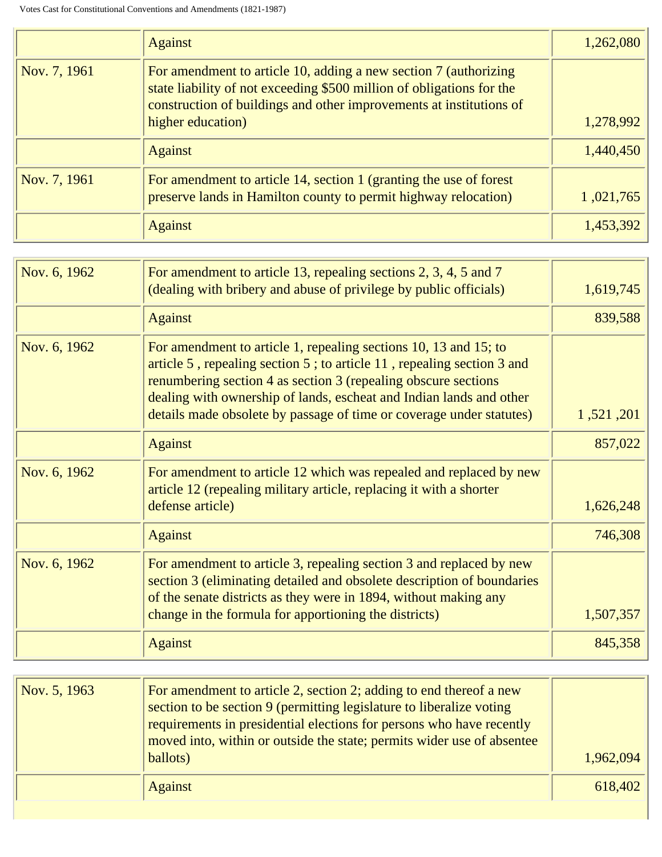|              | <b>Against</b>                                                                                                                                                                                                                        | 1,262,080 |
|--------------|---------------------------------------------------------------------------------------------------------------------------------------------------------------------------------------------------------------------------------------|-----------|
| Nov. 7, 1961 | For amendment to article 10, adding a new section 7 (authorizing<br>state liability of not exceeding \$500 million of obligations for the<br>construction of buildings and other improvements at institutions of<br>higher education) | 1,278,992 |
|              | <b>Against</b>                                                                                                                                                                                                                        | 1,440,450 |
| Nov. 7, 1961 | For amendment to article 14, section 1 (granting the use of forest<br>preserve lands in Hamilton county to permit highway relocation)                                                                                                 | 1,021,765 |
|              | <b>Against</b>                                                                                                                                                                                                                        | 1,453,392 |

| Nov. 6, 1962 | For amendment to article 13, repealing sections 2, 3, 4, 5 and 7<br>(dealing with bribery and abuse of privilege by public officials)                                                                                                                                                                                                                        | 1,619,745 |
|--------------|--------------------------------------------------------------------------------------------------------------------------------------------------------------------------------------------------------------------------------------------------------------------------------------------------------------------------------------------------------------|-----------|
|              | <b>Against</b>                                                                                                                                                                                                                                                                                                                                               | 839,588   |
| Nov. 6, 1962 | For amendment to article 1, repealing sections 10, 13 and 15; to<br>article 5, repealing section 5; to article 11, repealing section 3 and<br>renumbering section 4 as section 3 (repealing obscure sections)<br>dealing with ownership of lands, escheat and Indian lands and other<br>details made obsolete by passage of time or coverage under statutes) | 1,521,201 |
|              | <b>Against</b>                                                                                                                                                                                                                                                                                                                                               | 857,022   |
| Nov. 6, 1962 | For amendment to article 12 which was repealed and replaced by new<br>article 12 (repealing military article, replacing it with a shorter<br>defense article)                                                                                                                                                                                                | 1,626,248 |
|              | <b>Against</b>                                                                                                                                                                                                                                                                                                                                               | 746,308   |
| Nov. 6, 1962 | For amendment to article 3, repealing section 3 and replaced by new<br>section 3 (eliminating detailed and obsolete description of boundaries<br>of the senate districts as they were in 1894, without making any<br>change in the formula for apportioning the districts)                                                                                   | 1,507,357 |
|              | <b>Against</b>                                                                                                                                                                                                                                                                                                                                               | 845,358   |

| Nov. 5, 1963 | For amendment to article 2, section 2; adding to end thereof a new<br>section to be section 9 (permitting legislature to liberalize voting<br>requirements in presidential elections for persons who have recently<br>moved into, within or outside the state; permits wider use of absentee<br>ballots) | 1,962,094 |
|--------------|----------------------------------------------------------------------------------------------------------------------------------------------------------------------------------------------------------------------------------------------------------------------------------------------------------|-----------|
|              | <b>Against</b>                                                                                                                                                                                                                                                                                           | 618,402   |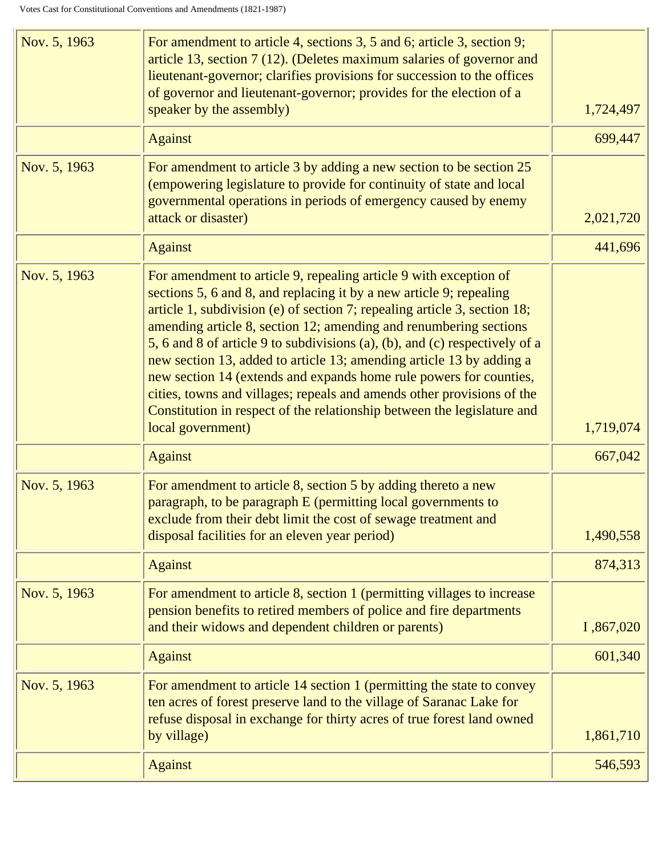| Nov. 5, 1963 | For amendment to article 4, sections 3, 5 and 6; article 3, section 9;<br>article 13, section 7 (12). (Deletes maximum salaries of governor and<br>lieutenant-governor; clarifies provisions for succession to the offices<br>of governor and lieutenant-governor; provides for the election of a<br>speaker by the assembly)                                                                                                                                                                                                                                                                                                                                                                     | 1,724,497 |
|--------------|---------------------------------------------------------------------------------------------------------------------------------------------------------------------------------------------------------------------------------------------------------------------------------------------------------------------------------------------------------------------------------------------------------------------------------------------------------------------------------------------------------------------------------------------------------------------------------------------------------------------------------------------------------------------------------------------------|-----------|
|              | <b>Against</b>                                                                                                                                                                                                                                                                                                                                                                                                                                                                                                                                                                                                                                                                                    | 699,447   |
| Nov. 5, 1963 | For amendment to article 3 by adding a new section to be section 25<br>(empowering legislature to provide for continuity of state and local<br>governmental operations in periods of emergency caused by enemy<br>attack or disaster)                                                                                                                                                                                                                                                                                                                                                                                                                                                             | 2,021,720 |
|              | <b>Against</b>                                                                                                                                                                                                                                                                                                                                                                                                                                                                                                                                                                                                                                                                                    | 441,696   |
| Nov. 5, 1963 | For amendment to article 9, repealing article 9 with exception of<br>sections 5, 6 and 8, and replacing it by a new article 9; repealing<br>article 1, subdivision (e) of section 7; repealing article 3, section 18;<br>amending article 8, section 12; amending and renumbering sections<br>5, 6 and 8 of article 9 to subdivisions (a), (b), and (c) respectively of a<br>new section 13, added to article 13; amending article 13 by adding a<br>new section 14 (extends and expands home rule powers for counties,<br>cities, towns and villages; repeals and amends other provisions of the<br>Constitution in respect of the relationship between the legislature and<br>local government) | 1,719,074 |
|              | <b>Against</b>                                                                                                                                                                                                                                                                                                                                                                                                                                                                                                                                                                                                                                                                                    | 667,042   |
| Nov. 5, 1963 | For amendment to article 8, section 5 by adding thereto a new<br>paragraph, to be paragraph E (permitting local governments to<br>exclude from their debt limit the cost of sewage treatment and<br>disposal facilities for an eleven year period)                                                                                                                                                                                                                                                                                                                                                                                                                                                | 1,490,558 |
|              | <b>Against</b>                                                                                                                                                                                                                                                                                                                                                                                                                                                                                                                                                                                                                                                                                    | 874,313   |
| Nov. 5, 1963 | For amendment to article 8, section 1 (permitting villages to increase<br>pension benefits to retired members of police and fire departments<br>and their widows and dependent children or parents)                                                                                                                                                                                                                                                                                                                                                                                                                                                                                               | I,867,020 |
|              | <b>Against</b>                                                                                                                                                                                                                                                                                                                                                                                                                                                                                                                                                                                                                                                                                    | 601,340   |
| Nov. 5, 1963 | For amendment to article 14 section 1 (permitting the state to convey<br>ten acres of forest preserve land to the village of Saranac Lake for<br>refuse disposal in exchange for thirty acres of true forest land owned<br>by village)                                                                                                                                                                                                                                                                                                                                                                                                                                                            | 1,861,710 |
|              | <b>Against</b>                                                                                                                                                                                                                                                                                                                                                                                                                                                                                                                                                                                                                                                                                    | 546,593   |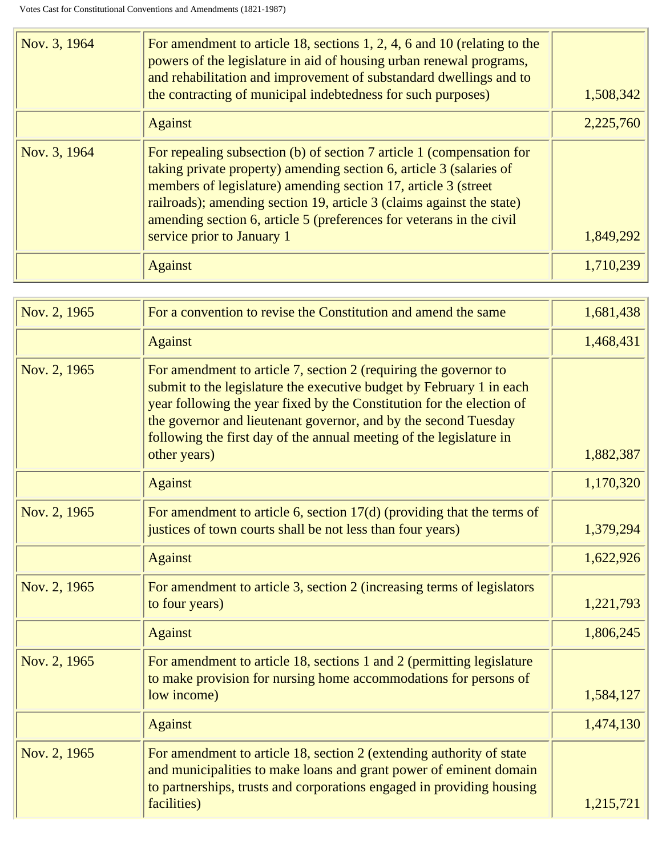| Nov. 3, 1964 | For amendment to article 18, sections 1, 2, 4, 6 and 10 (relating to the<br>powers of the legislature in aid of housing urban renewal programs,<br>and rehabilitation and improvement of substandard dwellings and to<br>the contracting of municipal indebtedness for such purposes)                                                                                                         | 1,508,342 |
|--------------|-----------------------------------------------------------------------------------------------------------------------------------------------------------------------------------------------------------------------------------------------------------------------------------------------------------------------------------------------------------------------------------------------|-----------|
|              | <b>Against</b>                                                                                                                                                                                                                                                                                                                                                                                | 2,225,760 |
| Nov. 3, 1964 | For repealing subsection (b) of section 7 article 1 (compensation for<br>taking private property) amending section 6, article 3 (salaries of<br>members of legislature) amending section 17, article 3 (street<br>railroads); amending section 19, article 3 (claims against the state)<br>amending section 6, article 5 (preferences for veterans in the civil<br>service prior to January 1 | 1,849,292 |
|              | <b>Against</b>                                                                                                                                                                                                                                                                                                                                                                                | 1.710.239 |

| Nov. 2, 1965 | For a convention to revise the Constitution and amend the same                                                                                                                                                                                                                                                                                                              | 1,681,438 |
|--------------|-----------------------------------------------------------------------------------------------------------------------------------------------------------------------------------------------------------------------------------------------------------------------------------------------------------------------------------------------------------------------------|-----------|
|              | <b>Against</b>                                                                                                                                                                                                                                                                                                                                                              | 1,468,431 |
| Nov. 2, 1965 | For amendment to article 7, section 2 (requiring the governor to<br>submit to the legislature the executive budget by February 1 in each<br>year following the year fixed by the Constitution for the election of<br>the governor and lieutenant governor, and by the second Tuesday<br>following the first day of the annual meeting of the legislature in<br>other years) | 1,882,387 |
|              | <b>Against</b>                                                                                                                                                                                                                                                                                                                                                              | 1,170,320 |
| Nov. 2, 1965 | For amendment to article 6, section $17(d)$ (providing that the terms of<br>justices of town courts shall be not less than four years)                                                                                                                                                                                                                                      | 1,379,294 |
|              | <b>Against</b>                                                                                                                                                                                                                                                                                                                                                              | 1,622,926 |
| Nov. 2, 1965 | For amendment to article 3, section 2 (increasing terms of legislators<br>to four years)                                                                                                                                                                                                                                                                                    | 1,221,793 |
|              | <b>Against</b>                                                                                                                                                                                                                                                                                                                                                              | 1,806,245 |
| Nov. 2, 1965 | For amendment to article 18, sections 1 and 2 (permitting legislature<br>to make provision for nursing home accommodations for persons of<br>low income)                                                                                                                                                                                                                    | 1,584,127 |
|              | <b>Against</b>                                                                                                                                                                                                                                                                                                                                                              | 1,474,130 |
| Nov. 2, 1965 | For amendment to article 18, section 2 (extending authority of state<br>and municipalities to make loans and grant power of eminent domain<br>to partnerships, trusts and corporations engaged in providing housing                                                                                                                                                         |           |
|              | facilities)                                                                                                                                                                                                                                                                                                                                                                 | 1,215,721 |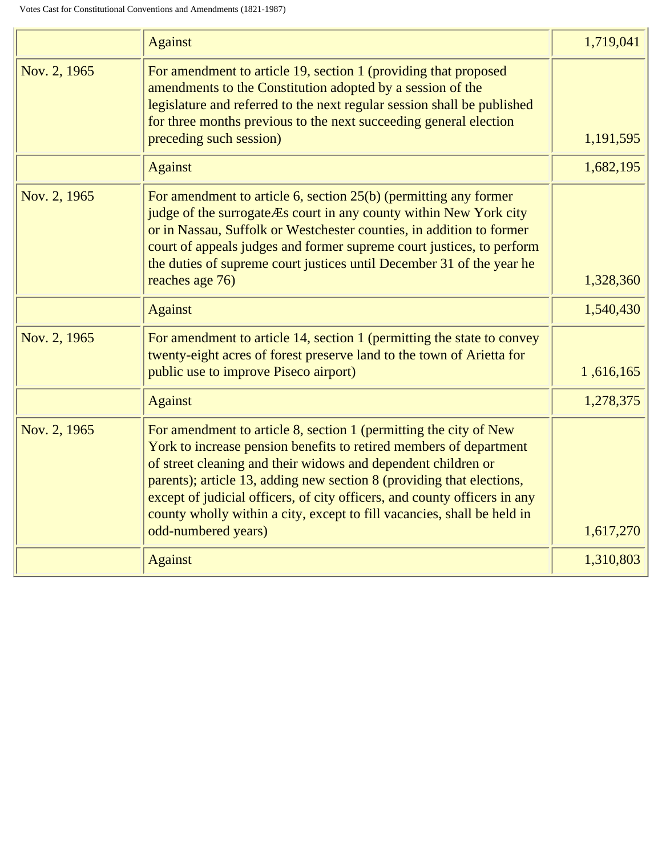|              | <b>Against</b>                                                                                                                                                                                                                                                                                                                                                                                                                                                   | 1,719,041 |
|--------------|------------------------------------------------------------------------------------------------------------------------------------------------------------------------------------------------------------------------------------------------------------------------------------------------------------------------------------------------------------------------------------------------------------------------------------------------------------------|-----------|
| Nov. 2, 1965 | For amendment to article 19, section 1 (providing that proposed<br>amendments to the Constitution adopted by a session of the<br>legislature and referred to the next regular session shall be published<br>for three months previous to the next succeeding general election<br>preceding such session)                                                                                                                                                         | 1,191,595 |
|              | <b>Against</b>                                                                                                                                                                                                                                                                                                                                                                                                                                                   | 1,682,195 |
| Nov. 2, 1965 | For amendment to article 6, section $25(b)$ (permitting any former<br>judge of the surrogate Es court in any county within New York city<br>or in Nassau, Suffolk or Westchester counties, in addition to former<br>court of appeals judges and former supreme court justices, to perform<br>the duties of supreme court justices until December 31 of the year he<br>reaches age 76)                                                                            | 1,328,360 |
|              | <b>Against</b>                                                                                                                                                                                                                                                                                                                                                                                                                                                   | 1,540,430 |
| Nov. 2, 1965 | For amendment to article 14, section 1 (permitting the state to convey<br>twenty-eight acres of forest preserve land to the town of Arietta for<br>public use to improve Piseco airport)                                                                                                                                                                                                                                                                         | 1,616,165 |
|              | <b>Against</b>                                                                                                                                                                                                                                                                                                                                                                                                                                                   | 1,278,375 |
| Nov. 2, 1965 | For amendment to article 8, section 1 (permitting the city of New<br>York to increase pension benefits to retired members of department<br>of street cleaning and their widows and dependent children or<br>parents); article 13, adding new section 8 (providing that elections,<br>except of judicial officers, of city officers, and county officers in any<br>county wholly within a city, except to fill vacancies, shall be held in<br>odd-numbered years) | 1,617,270 |
|              | <b>Against</b>                                                                                                                                                                                                                                                                                                                                                                                                                                                   | 1,310,803 |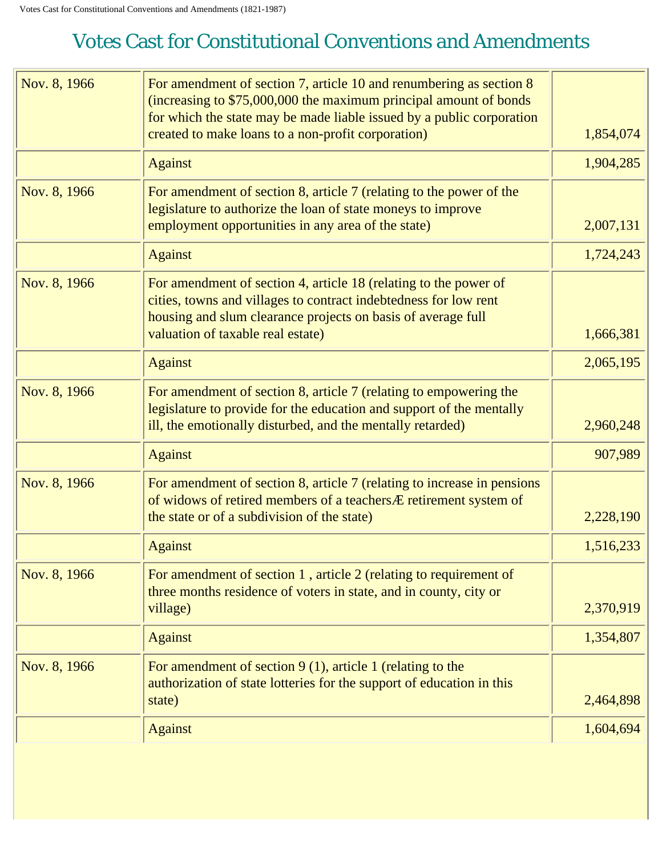<span id="page-35-0"></span>

| Nov. 8, 1966 | For amendment of section 7, article 10 and renumbering as section 8<br>(increasing to \$75,000,000 the maximum principal amount of bonds<br>for which the state may be made liable issued by a public corporation<br>created to make loans to a non-profit corporation) | 1,854,074 |
|--------------|-------------------------------------------------------------------------------------------------------------------------------------------------------------------------------------------------------------------------------------------------------------------------|-----------|
|              | <b>Against</b>                                                                                                                                                                                                                                                          | 1,904,285 |
| Nov. 8, 1966 | For amendment of section 8, article 7 (relating to the power of the                                                                                                                                                                                                     |           |
|              | legislature to authorize the loan of state moneys to improve<br>employment opportunities in any area of the state)                                                                                                                                                      | 2,007,131 |
|              | <b>Against</b>                                                                                                                                                                                                                                                          | 1,724,243 |
| Nov. 8, 1966 | For amendment of section 4, article 18 (relating to the power of<br>cities, towns and villages to contract indebtedness for low rent<br>housing and slum clearance projects on basis of average full<br>valuation of taxable real estate)                               | 1,666,381 |
|              | <b>Against</b>                                                                                                                                                                                                                                                          | 2,065,195 |
| Nov. 8, 1966 | For amendment of section 8, article 7 (relating to empowering the<br>legislature to provide for the education and support of the mentally<br>ill, the emotionally disturbed, and the mentally retarded)                                                                 | 2,960,248 |
|              | <b>Against</b>                                                                                                                                                                                                                                                          | 907,989   |
| Nov. 8, 1966 | For amendment of section 8, article 7 (relating to increase in pensions<br>of widows of retired members of a teachers Æ retirement system of<br>the state or of a subdivision of the state)                                                                             | 2,228,190 |
|              | <b>Against</b>                                                                                                                                                                                                                                                          | 1,516,233 |
| Nov. 8, 1966 | For amendment of section 1, article 2 (relating to requirement of<br>three months residence of voters in state, and in county, city or<br>village)                                                                                                                      | 2,370,919 |
|              | <b>Against</b>                                                                                                                                                                                                                                                          | 1,354,807 |
| Nov. 8, 1966 | For amendment of section $9(1)$ , article 1 (relating to the<br>authorization of state lotteries for the support of education in this                                                                                                                                   |           |
|              | state)                                                                                                                                                                                                                                                                  | 2,464,898 |
|              | <b>Against</b>                                                                                                                                                                                                                                                          | 1,604,694 |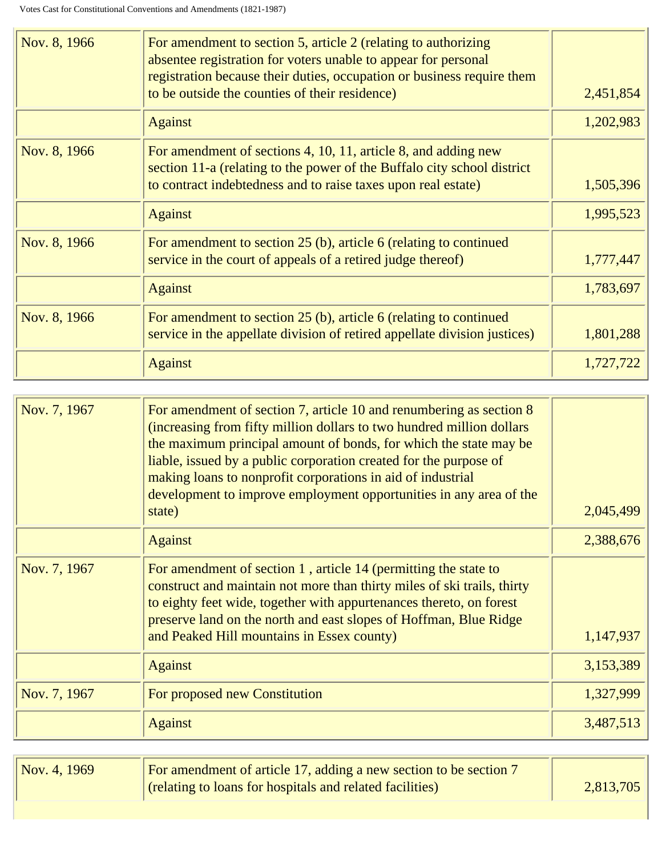| Nov. 8, 1966 | For amendment to section 5, article 2 (relating to authorizing<br>absentee registration for voters unable to appear for personal<br>registration because their duties, occupation or business require them<br>to be outside the counties of their residence) | 2,451,854 |
|--------------|--------------------------------------------------------------------------------------------------------------------------------------------------------------------------------------------------------------------------------------------------------------|-----------|
|              | <b>Against</b>                                                                                                                                                                                                                                               | 1,202,983 |
| Nov. 8, 1966 | For amendment of sections 4, 10, 11, article 8, and adding new<br>section 11-a (relating to the power of the Buffalo city school district<br>to contract indebtedness and to raise taxes upon real estate)                                                   | 1,505,396 |
|              | <b>Against</b>                                                                                                                                                                                                                                               | 1,995,523 |
| Nov. 8, 1966 | For amendment to section $25$ (b), article 6 (relating to continued<br>service in the court of appeals of a retired judge thereof)                                                                                                                           | 1,777,447 |
|              | <b>Against</b>                                                                                                                                                                                                                                               | 1,783,697 |
| Nov. 8, 1966 | For amendment to section 25 (b), article 6 (relating to continued<br>service in the appellate division of retired appellate division justices)                                                                                                               | 1,801,288 |
|              | <b>Against</b>                                                                                                                                                                                                                                               | 1,727,722 |

| Nov. 7, 1967 | For amendment of section 7, article 10 and renumbering as section 8<br>(increasing from fifty million dollars to two hundred million dollars<br>the maximum principal amount of bonds, for which the state may be<br>liable, issued by a public corporation created for the purpose of<br>making loans to nonprofit corporations in aid of industrial<br>development to improve employment opportunities in any area of the<br>state) | 2,045,499 |
|--------------|---------------------------------------------------------------------------------------------------------------------------------------------------------------------------------------------------------------------------------------------------------------------------------------------------------------------------------------------------------------------------------------------------------------------------------------|-----------|
|              | <b>Against</b>                                                                                                                                                                                                                                                                                                                                                                                                                        | 2,388,676 |
| Nov. 7, 1967 | For amendment of section 1, article 14 (permitting the state to<br>construct and maintain not more than thirty miles of ski trails, thirty<br>to eighty feet wide, together with appurtenances thereto, on forest<br>preserve land on the north and east slopes of Hoffman, Blue Ridge<br>and Peaked Hill mountains in Essex county)                                                                                                  | 1,147,937 |
|              | <b>Against</b>                                                                                                                                                                                                                                                                                                                                                                                                                        | 3,153,389 |
| Nov. 7, 1967 | For proposed new Constitution                                                                                                                                                                                                                                                                                                                                                                                                         | 1,327,999 |
|              | <b>Against</b>                                                                                                                                                                                                                                                                                                                                                                                                                        | 3,487,513 |

| Nov. 4, 1969 | For amendment of article 17, adding a new section to be section 7 |           |
|--------------|-------------------------------------------------------------------|-----------|
|              | (relating to loans for hospitals and related facilities)          | 2,813,705 |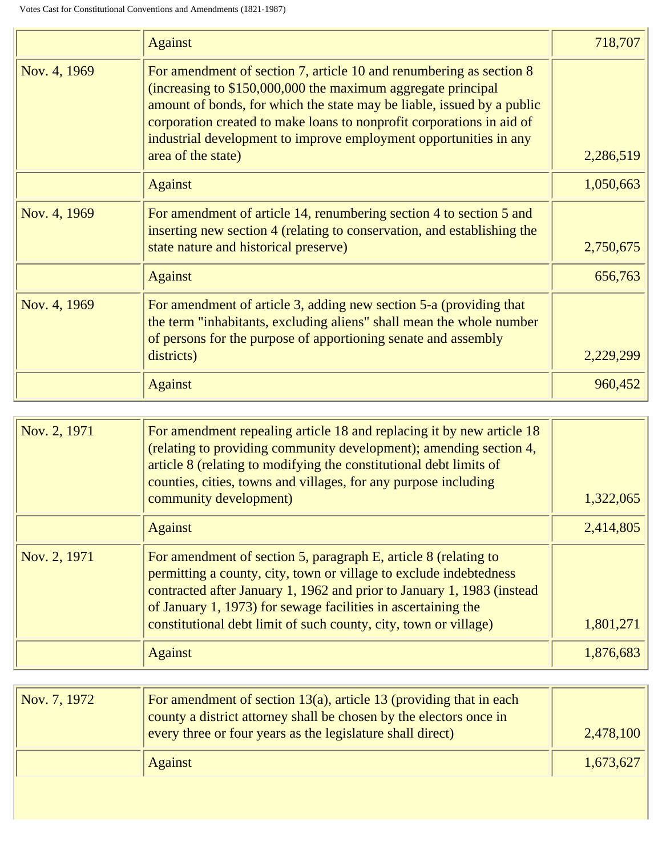|              | <b>Against</b>                                                                                                                                                                                                                                                                                                                                                                    | 718,707   |
|--------------|-----------------------------------------------------------------------------------------------------------------------------------------------------------------------------------------------------------------------------------------------------------------------------------------------------------------------------------------------------------------------------------|-----------|
| Nov. 4, 1969 | For amendment of section 7, article 10 and renumbering as section 8<br>(increasing to \$150,000,000 the maximum aggregate principal<br>amount of bonds, for which the state may be liable, issued by a public<br>corporation created to make loans to nonprofit corporations in aid of<br>industrial development to improve employment opportunities in any<br>area of the state) | 2,286,519 |
|              | <b>Against</b>                                                                                                                                                                                                                                                                                                                                                                    | 1,050,663 |
| Nov. 4, 1969 | For amendment of article 14, renumbering section 4 to section 5 and<br>inserting new section 4 (relating to conservation, and establishing the<br>state nature and historical preserve)                                                                                                                                                                                           | 2,750,675 |
|              | <b>Against</b>                                                                                                                                                                                                                                                                                                                                                                    | 656,763   |
| Nov. 4, 1969 | For amendment of article 3, adding new section 5-a (providing that<br>the term "inhabitants, excluding aliens" shall mean the whole number<br>of persons for the purpose of apportioning senate and assembly<br>districts)                                                                                                                                                        | 2,229,299 |
|              | <b>Against</b>                                                                                                                                                                                                                                                                                                                                                                    | 960,452   |

| Nov. 2, 1971 | For amendment repealing article 18 and replacing it by new article 18<br>(relating to providing community development); amending section 4,<br>article 8 (relating to modifying the constitutional debt limits of<br>counties, cities, towns and villages, for any purpose including<br>community development)                                       | 1,322,065 |
|--------------|------------------------------------------------------------------------------------------------------------------------------------------------------------------------------------------------------------------------------------------------------------------------------------------------------------------------------------------------------|-----------|
|              | <b>Against</b>                                                                                                                                                                                                                                                                                                                                       | 2,414,805 |
| Nov. 2, 1971 | For amendment of section 5, paragraph E, article 8 (relating to<br>permitting a county, city, town or village to exclude indebtedness<br>contracted after January 1, 1962 and prior to January 1, 1983 (instead<br>of January 1, 1973) for sewage facilities in ascertaining the<br>constitutional debt limit of such county, city, town or village) | 1,801,271 |
|              | <b>Against</b>                                                                                                                                                                                                                                                                                                                                       | 1.876.683 |

| $\sqrt{Nov. 7, 1972}$ | For amendment of section $13(a)$ , article 13 (providing that in each<br>county a district attorney shall be chosen by the electors once in<br>every three or four years as the legislature shall direct) | 2,478,100 |
|-----------------------|-----------------------------------------------------------------------------------------------------------------------------------------------------------------------------------------------------------|-----------|
|                       | <b>Against</b>                                                                                                                                                                                            | 1,673,627 |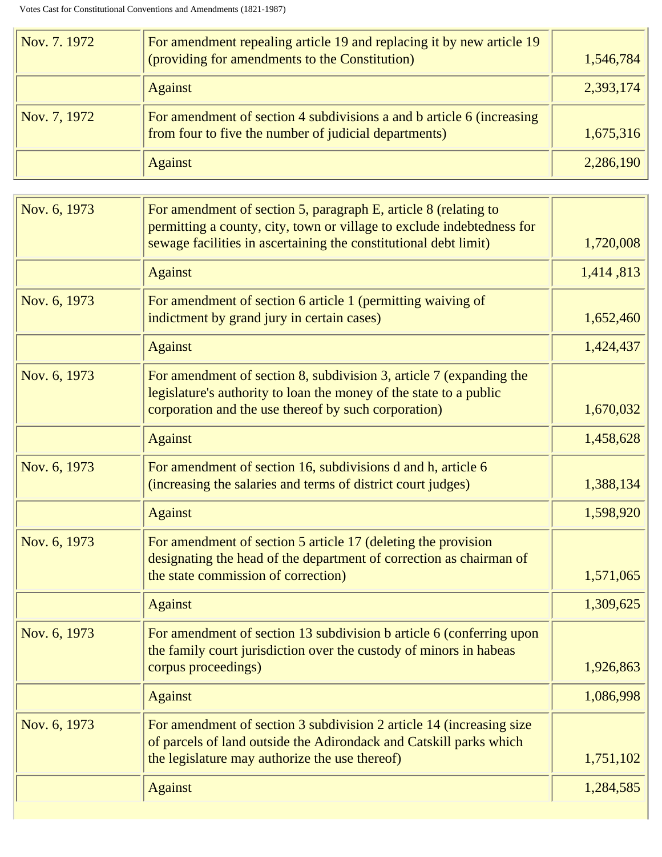| Nov. 7. 1972 | For amendment repealing article 19 and replacing it by new article 19<br>(providing for amendments to the Constitution)        | 1,546,784 |
|--------------|--------------------------------------------------------------------------------------------------------------------------------|-----------|
|              | <b>Against</b>                                                                                                                 | 2,393,174 |
| Nov. 7, 1972 | For amendment of section 4 subdivisions a and b article 6 (increasing<br>from four to five the number of judicial departments) | 1,675,316 |
|              | <b>Against</b>                                                                                                                 | 2,286,190 |

| For amendment of section 5, paragraph E, article 8 (relating to<br>permitting a county, city, town or village to exclude indebtedness for<br>sewage facilities in ascertaining the constitutional debt limit) | 1,720,008 |
|---------------------------------------------------------------------------------------------------------------------------------------------------------------------------------------------------------------|-----------|
| <b>Against</b>                                                                                                                                                                                                | 1,414,813 |
| For amendment of section 6 article 1 (permitting waiving of<br>indictment by grand jury in certain cases)                                                                                                     | 1,652,460 |
| <b>Against</b>                                                                                                                                                                                                | 1,424,437 |
| For amendment of section 8, subdivision 3, article 7 (expanding the<br>legislature's authority to loan the money of the state to a public<br>corporation and the use thereof by such corporation)             | 1,670,032 |
| <b>Against</b>                                                                                                                                                                                                | 1,458,628 |
| For amendment of section 16, subdivisions d and h, article 6<br>(increasing the salaries and terms of district court judges)                                                                                  | 1,388,134 |
| <b>Against</b>                                                                                                                                                                                                | 1,598,920 |
| For amendment of section 5 article 17 (deleting the provision<br>designating the head of the department of correction as chairman of<br>the state commission of correction)                                   | 1,571,065 |
| <b>Against</b>                                                                                                                                                                                                | 1,309,625 |
| For amendment of section 13 subdivision b article 6 (conferring upon<br>the family court jurisdiction over the custody of minors in habeas<br>corpus proceedings)                                             | 1,926,863 |
| <b>Against</b>                                                                                                                                                                                                | 1,086,998 |
| For amendment of section 3 subdivision 2 article 14 (increasing size<br>of parcels of land outside the Adirondack and Catskill parks which<br>the legislature may authorize the use thereof)                  | 1,751,102 |
| <b>Against</b>                                                                                                                                                                                                | 1,284,585 |
|                                                                                                                                                                                                               |           |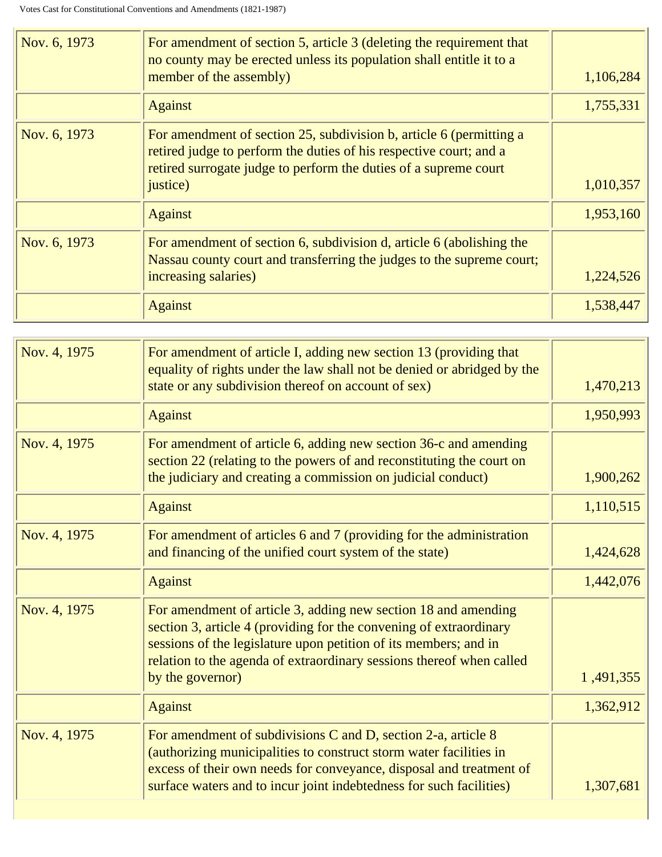| Nov. 6, 1973 | For amendment of section 5, article 3 (deleting the requirement that<br>no county may be erected unless its population shall entitle it to a<br>member of the assembly)                                                   | 1,106,284 |
|--------------|---------------------------------------------------------------------------------------------------------------------------------------------------------------------------------------------------------------------------|-----------|
|              | <b>Against</b>                                                                                                                                                                                                            | 1,755,331 |
| Nov. 6, 1973 | For amendment of section 25, subdivision b, article 6 (permitting a<br>retired judge to perform the duties of his respective court; and a<br>retired surrogate judge to perform the duties of a supreme court<br>justice) | 1,010,357 |
|              | <b>Against</b>                                                                                                                                                                                                            | 1,953,160 |
| Nov. 6, 1973 | For amendment of section 6, subdivision d, article 6 (abolishing the<br>Nassau county court and transferring the judges to the supreme court;<br>increasing salaries)                                                     | 1,224,526 |
|              | <b>Against</b>                                                                                                                                                                                                            | 1,538,447 |

| Nov. 4, 1975 | For amendment of article I, adding new section 13 (providing that<br>equality of rights under the law shall not be denied or abridged by the<br>state or any subdivision thereof on account of sex)                                                                                                  | 1,470,213 |
|--------------|------------------------------------------------------------------------------------------------------------------------------------------------------------------------------------------------------------------------------------------------------------------------------------------------------|-----------|
|              | <b>Against</b>                                                                                                                                                                                                                                                                                       | 1,950,993 |
| Nov. 4, 1975 | For amendment of article 6, adding new section 36-c and amending<br>section 22 (relating to the powers of and reconstituting the court on<br>the judiciary and creating a commission on judicial conduct)                                                                                            | 1,900,262 |
|              | <b>Against</b>                                                                                                                                                                                                                                                                                       | 1,110,515 |
| Nov. 4, 1975 | For amendment of articles 6 and 7 (providing for the administration<br>and financing of the unified court system of the state)                                                                                                                                                                       | 1,424,628 |
|              | <b>Against</b>                                                                                                                                                                                                                                                                                       | 1,442,076 |
| Nov. 4, 1975 | For amendment of article 3, adding new section 18 and amending<br>section 3, article 4 (providing for the convening of extraordinary<br>sessions of the legislature upon petition of its members; and in<br>relation to the agenda of extraordinary sessions thereof when called<br>by the governor) | 1,491,355 |
|              | <b>Against</b>                                                                                                                                                                                                                                                                                       | 1,362,912 |
| Nov. 4, 1975 | For amendment of subdivisions C and D, section 2-a, article 8<br>(authorizing municipalities to construct storm water facilities in<br>excess of their own needs for conveyance, disposal and treatment of<br>surface waters and to incur joint indebtedness for such facilities)                    | 1,307,681 |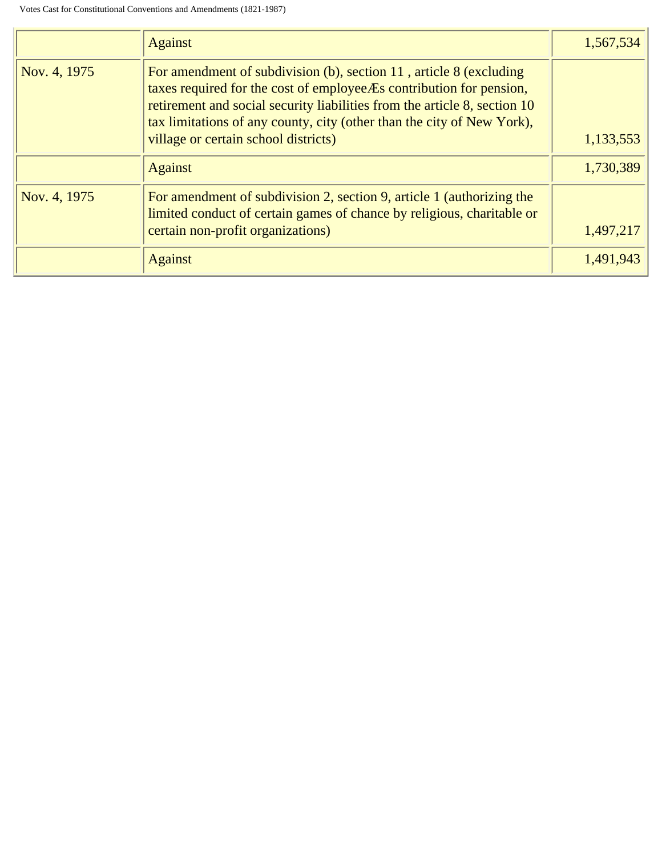|              | <b>Against</b>                                                                                                                                                                                                                                                                                                                               | 1,567,534 |
|--------------|----------------------------------------------------------------------------------------------------------------------------------------------------------------------------------------------------------------------------------------------------------------------------------------------------------------------------------------------|-----------|
| Nov. 4, 1975 | For amendment of subdivision $(b)$ , section 11, article 8 (excluding<br>taxes required for the cost of employee Es contribution for pension,<br>retirement and social security liabilities from the article 8, section 10<br>tax limitations of any county, city (other than the city of New York),<br>village or certain school districts) | 1,133,553 |
|              | <b>Against</b>                                                                                                                                                                                                                                                                                                                               | 1,730,389 |
| Nov. 4, 1975 | For amendment of subdivision 2, section 9, article 1 (authorizing the<br>limited conduct of certain games of chance by religious, charitable or<br>certain non-profit organizations)                                                                                                                                                         | 1,497,217 |
|              | <b>Against</b>                                                                                                                                                                                                                                                                                                                               | 1,491,943 |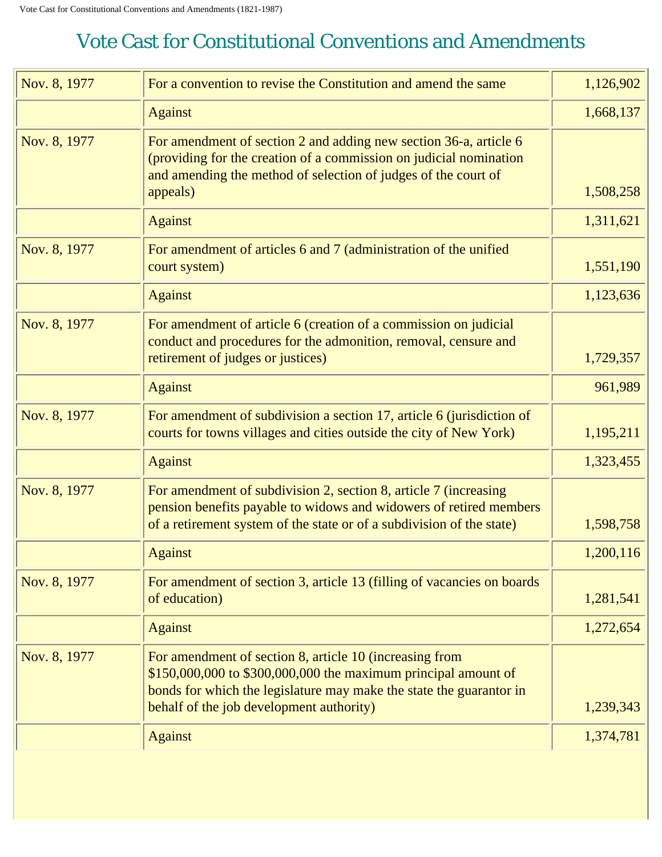<span id="page-41-0"></span>

| Nov. 8, 1977 | For a convention to revise the Constitution and amend the same                                                                                                                                                                               | 1,126,902 |
|--------------|----------------------------------------------------------------------------------------------------------------------------------------------------------------------------------------------------------------------------------------------|-----------|
|              | <b>Against</b>                                                                                                                                                                                                                               | 1,668,137 |
| Nov. 8, 1977 | For amendment of section 2 and adding new section 36-a, article 6<br>(providing for the creation of a commission on judicial nomination<br>and amending the method of selection of judges of the court of<br>appeals)                        | 1,508,258 |
|              | <b>Against</b>                                                                                                                                                                                                                               | 1,311,621 |
| Nov. 8, 1977 | For amendment of articles 6 and 7 (administration of the unified<br>court system)                                                                                                                                                            | 1,551,190 |
|              | <b>Against</b>                                                                                                                                                                                                                               | 1,123,636 |
| Nov. 8, 1977 | For amendment of article 6 (creation of a commission on judicial<br>conduct and procedures for the admonition, removal, censure and<br>retirement of judges or justices)                                                                     | 1,729,357 |
|              | <b>Against</b>                                                                                                                                                                                                                               | 961,989   |
| Nov. 8, 1977 | For amendment of subdivision a section 17, article 6 (jurisdiction of<br>courts for towns villages and cities outside the city of New York)                                                                                                  | 1,195,211 |
|              | <b>Against</b>                                                                                                                                                                                                                               | 1,323,455 |
| Nov. 8, 1977 | For amendment of subdivision 2, section 8, article 7 (increasing<br>pension benefits payable to widows and widowers of retired members<br>of a retirement system of the state or of a subdivision of the state)                              | 1,598,758 |
|              | <b>Against</b>                                                                                                                                                                                                                               | 1,200,116 |
| Nov. 8, 1977 | For amendment of section 3, article 13 (filling of vacancies on boards<br>of education)                                                                                                                                                      | 1,281,541 |
|              | <b>Against</b>                                                                                                                                                                                                                               | 1,272,654 |
| Nov. 8, 1977 | For amendment of section 8, article 10 (increasing from<br>\$150,000,000 to \$300,000,000 the maximum principal amount of<br>bonds for which the legislature may make the state the guarantor in<br>behalf of the job development authority) | 1,239,343 |
|              | <b>Against</b>                                                                                                                                                                                                                               | 1,374,781 |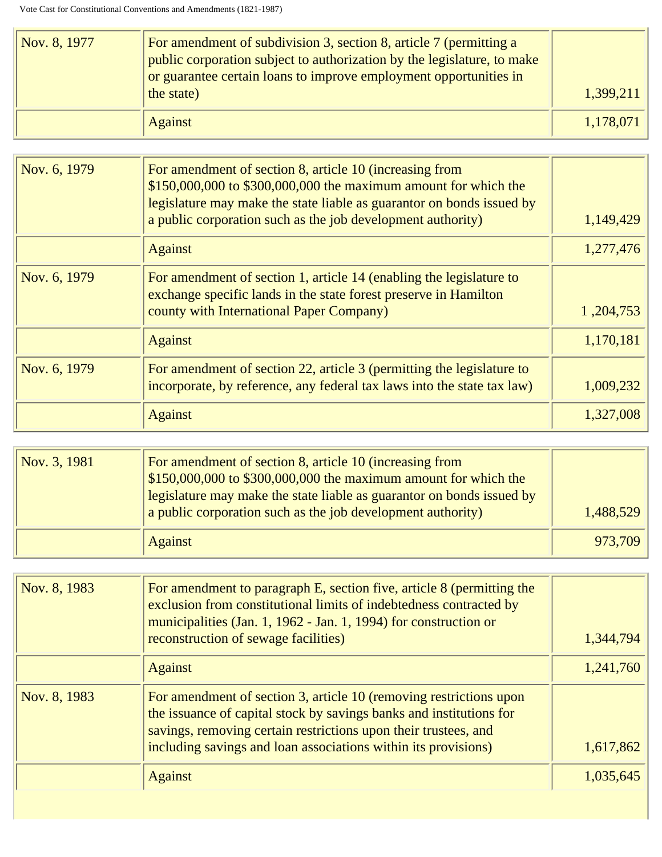| Nov. 8, 1977 | For amendment of subdivision 3, section 8, article 7 (permitting a<br>public corporation subject to authorization by the legislature, to make<br>or guarantee certain loans to improve employment opportunities in<br>the state) | 1,399,211 |
|--------------|----------------------------------------------------------------------------------------------------------------------------------------------------------------------------------------------------------------------------------|-----------|
|              | Against                                                                                                                                                                                                                          | 1,178,071 |

| Nov. 6, 1979 | For amendment of section 8, article 10 (increasing from<br>\$150,000,000 to \$300,000,000 the maximum amount for which the<br>legislature may make the state liable as guarantor on bonds issued by<br>a public corporation such as the job development authority) | 1,149,429   |
|--------------|--------------------------------------------------------------------------------------------------------------------------------------------------------------------------------------------------------------------------------------------------------------------|-------------|
|              | <b>Against</b>                                                                                                                                                                                                                                                     | 1,277,476   |
| Nov. 6, 1979 | For amendment of section 1, article 14 (enabling the legislature to<br>exchange specific lands in the state forest preserve in Hamilton<br>county with International Paper Company)                                                                                | 1, 204, 753 |
|              | <b>Against</b>                                                                                                                                                                                                                                                     | 1,170,181   |
| Nov. 6, 1979 | For amendment of section 22, article 3 (permitting the legislature to<br>incorporate, by reference, any federal tax laws into the state tax law)                                                                                                                   | 1,009,232   |
|              | <b>Against</b>                                                                                                                                                                                                                                                     | 1,327,008   |

| Nov. 3, 1981 | For amendment of section 8, article 10 (increasing from<br>$$150,000,000$ to $$300,000,000$ the maximum amount for which the<br>legislature may make the state liable as guarantor on bonds issued by<br>a public corporation such as the job development authority) | 1,488,529 |
|--------------|----------------------------------------------------------------------------------------------------------------------------------------------------------------------------------------------------------------------------------------------------------------------|-----------|
|              | <b>Against</b>                                                                                                                                                                                                                                                       | 973,709   |

| Nov. 8, 1983 | For amendment to paragraph E, section five, article 8 (permitting the<br>exclusion from constitutional limits of indebtedness contracted by<br>municipalities (Jan. 1, 1962 - Jan. 1, 1994) for construction or<br>reconstruction of sewage facilities)                        | 1,344,794 |
|--------------|--------------------------------------------------------------------------------------------------------------------------------------------------------------------------------------------------------------------------------------------------------------------------------|-----------|
|              | <b>Against</b>                                                                                                                                                                                                                                                                 | 1,241,760 |
| Nov. 8, 1983 | For amendment of section 3, article 10 (removing restrictions upon<br>the issuance of capital stock by savings banks and institutions for<br>savings, removing certain restrictions upon their trustees, and<br>including savings and loan associations within its provisions) | 1,617,862 |
|              | <b>Against</b>                                                                                                                                                                                                                                                                 | 1,035,645 |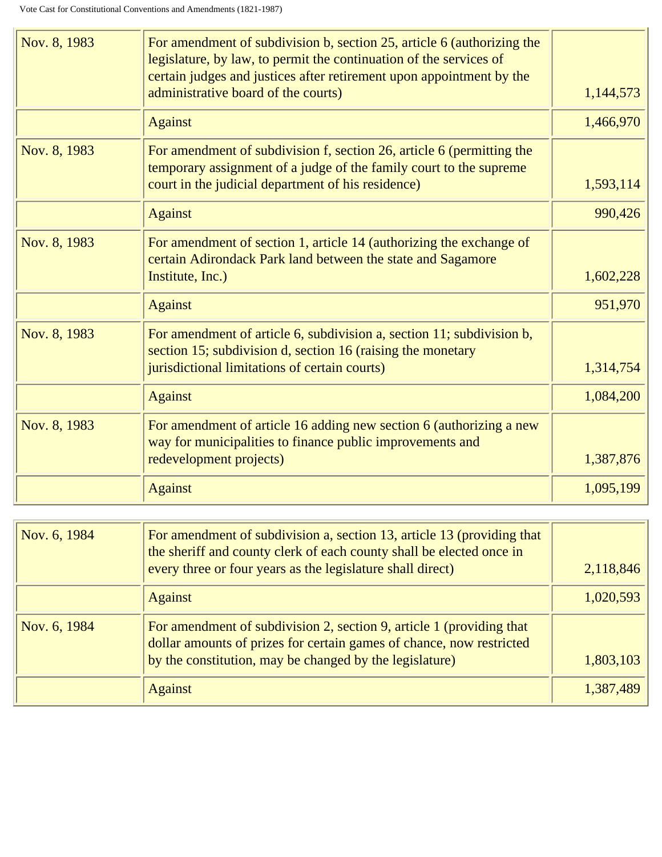| Nov. 8, 1983 | For amendment of subdivision b, section 25, article 6 (authorizing the<br>legislature, by law, to permit the continuation of the services of<br>certain judges and justices after retirement upon appointment by the |           |
|--------------|----------------------------------------------------------------------------------------------------------------------------------------------------------------------------------------------------------------------|-----------|
|              | administrative board of the courts)                                                                                                                                                                                  | 1,144,573 |
|              | <b>Against</b>                                                                                                                                                                                                       | 1,466,970 |
| Nov. 8, 1983 | For amendment of subdivision f, section 26, article 6 (permitting the<br>temporary assignment of a judge of the family court to the supreme<br>court in the judicial department of his residence)                    | 1,593,114 |
|              | <b>Against</b>                                                                                                                                                                                                       | 990,426   |
| Nov. 8, 1983 | For amendment of section 1, article 14 (authorizing the exchange of<br>certain Adirondack Park land between the state and Sagamore<br>Institute, Inc.)                                                               | 1,602,228 |
|              | <b>Against</b>                                                                                                                                                                                                       | 951,970   |
| Nov. 8, 1983 | For amendment of article 6, subdivision a, section 11; subdivision b,<br>section 15; subdivision d, section 16 (raising the monetary<br>jurisdictional limitations of certain courts)                                | 1,314,754 |
|              | <b>Against</b>                                                                                                                                                                                                       | 1,084,200 |
|              |                                                                                                                                                                                                                      |           |
| Nov. 8, 1983 | For amendment of article 16 adding new section 6 (authorizing a new<br>way for municipalities to finance public improvements and                                                                                     |           |
|              | redevelopment projects)                                                                                                                                                                                              | 1,387,876 |
|              | <b>Against</b>                                                                                                                                                                                                       | 1,095,199 |
|              |                                                                                                                                                                                                                      |           |
| Nov. 6, 1984 | For amendment of subdivision a, section 13, article 13 (providing that                                                                                                                                               |           |

л

| Nov. 6, 1984 | For amendment of subdivision a, section 13, article 13 (providing that<br>the sheriff and county clerk of each county shall be elected once in |           |
|--------------|------------------------------------------------------------------------------------------------------------------------------------------------|-----------|
|              | every three or four years as the legislature shall direct)                                                                                     | 2,118,846 |
|              | <b>Against</b>                                                                                                                                 | 1,020,593 |
| Nov. 6, 1984 | For amendment of subdivision 2, section 9, article 1 (providing that<br>dollar amounts of prizes for certain games of chance, now restricted   |           |
|              | by the constitution, may be changed by the legislature)                                                                                        | 1,803,103 |
|              | <b>Against</b>                                                                                                                                 | 1,387,489 |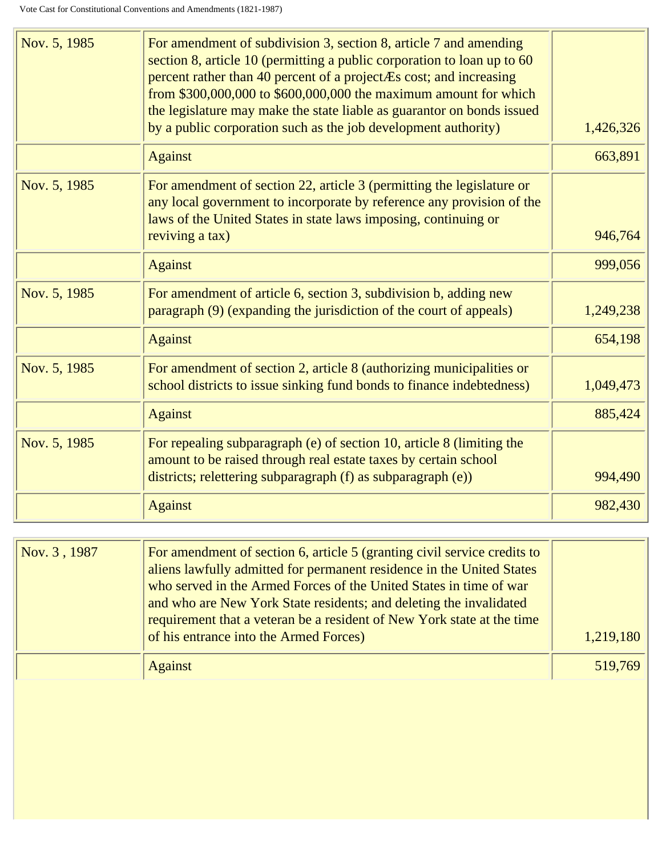| Nov. 5, 1985 | For amendment of subdivision 3, section 8, article 7 and amending<br>section 8, article 10 (permitting a public corporation to loan up to 60<br>percent rather than 40 percent of a projectÆs cost; and increasing<br>from $$300,000,000$ to $$600,000,000$ the maximum amount for which<br>the legislature may make the state liable as guarantor on bonds issued |           |
|--------------|--------------------------------------------------------------------------------------------------------------------------------------------------------------------------------------------------------------------------------------------------------------------------------------------------------------------------------------------------------------------|-----------|
|              | by a public corporation such as the job development authority)                                                                                                                                                                                                                                                                                                     | 1,426,326 |
|              | <b>Against</b>                                                                                                                                                                                                                                                                                                                                                     | 663,891   |
| Nov. 5, 1985 | For amendment of section 22, article 3 (permitting the legislature or<br>any local government to incorporate by reference any provision of the<br>laws of the United States in state laws imposing, continuing or                                                                                                                                                  |           |
|              | reviving a tax)                                                                                                                                                                                                                                                                                                                                                    | 946,764   |
|              | <b>Against</b>                                                                                                                                                                                                                                                                                                                                                     | 999,056   |
| Nov. 5, 1985 | For amendment of article 6, section 3, subdivision b, adding new<br>paragraph (9) (expanding the jurisdiction of the court of appeals)                                                                                                                                                                                                                             | 1,249,238 |
|              | <b>Against</b>                                                                                                                                                                                                                                                                                                                                                     | 654,198   |
| Nov. 5, 1985 | For amendment of section 2, article 8 (authorizing municipalities or<br>school districts to issue sinking fund bonds to finance indebtedness)                                                                                                                                                                                                                      | 1,049,473 |
|              | <b>Against</b>                                                                                                                                                                                                                                                                                                                                                     | 885,424   |
| Nov. 5, 1985 | For repealing subparagraph (e) of section 10, article 8 (limiting the<br>amount to be raised through real estate taxes by certain school                                                                                                                                                                                                                           |           |
|              | districts; relettering subparagraph (f) as subparagraph (e))                                                                                                                                                                                                                                                                                                       | 994,490   |
|              | <b>Against</b>                                                                                                                                                                                                                                                                                                                                                     | 982,430   |

| Nov. 3, 1987 | For amendment of section 6, article 5 (granting civil service credits to<br>aliens lawfully admitted for permanent residence in the United States<br>who served in the Armed Forces of the United States in time of war<br>and who are New York State residents; and deleting the invalidated<br>requirement that a veteran be a resident of New York state at the time<br>of his entrance into the Armed Forces) | 1,219,180 |
|--------------|-------------------------------------------------------------------------------------------------------------------------------------------------------------------------------------------------------------------------------------------------------------------------------------------------------------------------------------------------------------------------------------------------------------------|-----------|
|              | <b>Against</b>                                                                                                                                                                                                                                                                                                                                                                                                    | 519,769   |